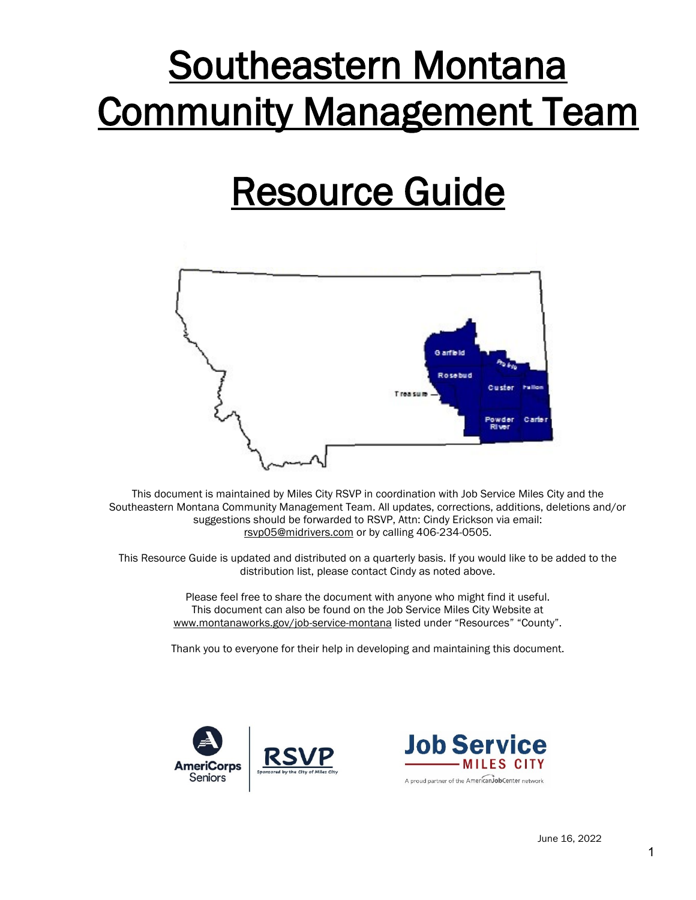# Southeastern Montana Community Management Team

## Resource Guide



This document is maintained by Miles City RSVP in coordination with Job Service Miles City and the Southeastern Montana Community Management Team. All updates, corrections, additions, deletions and/or suggestions should be forwarded to RSVP, Attn: Cindy Erickson via email: [rsvp05@midrivers.com](mailto:rsvp05@midrivers.com) or by calling 406-234-0505.

This Resource Guide is updated and distributed on a quarterly basis. If you would like to be added to the distribution list, please contact Cindy as noted above.

> Please feel free to share the document with anyone who might find it useful. This document can also be found on the Job Service Miles City Website at www.montanaworks.gov/job-service-montana listed under "Resources" "County".

> Thank you to everyone for their help in developing and maintaining this document.



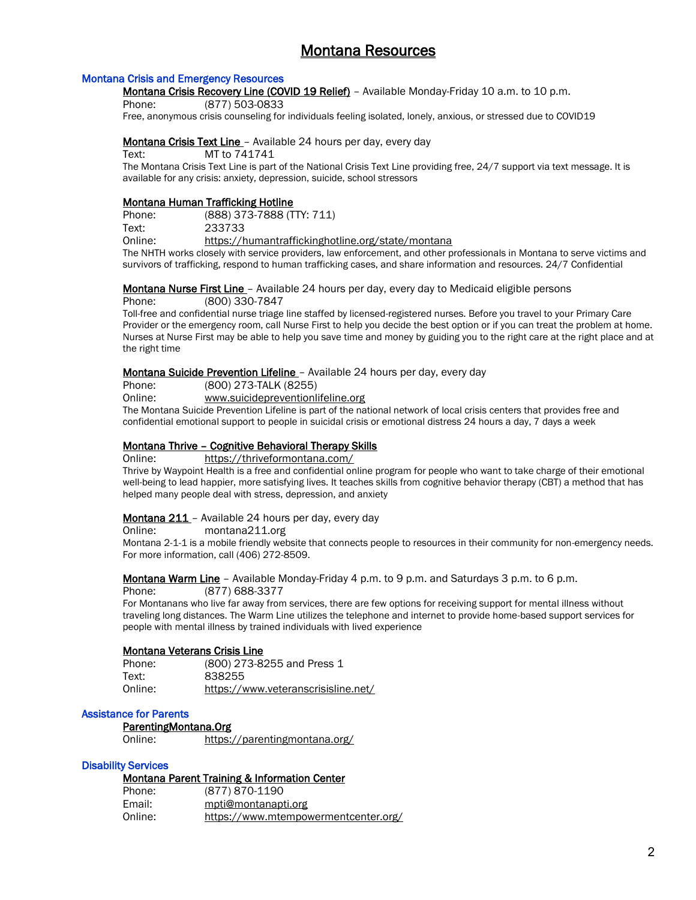## Montana Resources

#### Montana Crisis and Emergency Resources

Montana Crisis Recovery Line (COVID 19 Relief) - Available Monday-Friday 10 a.m. to 10 p.m.

Phone: (877) 503-0833

Free, anonymous crisis counseling for individuals feeling isolated, lonely, anxious, or stressed due to COVID19

#### Montana Crisis Text Line - Available 24 hours per day, every day

Text: MT to 741741

The Montana Crisis Text Line is part of the National Crisis Text Line providing free, 24/7 support via text message. It is available for any crisis: anxiety, depression, suicide, school stressors

#### Montana Human Trafficking Hotline

| Phone:  | (888) 373-7888 (TTY: 711)                         |
|---------|---------------------------------------------------|
| Text:   | 233733                                            |
| Online: | https://humantraffickinghotline.org/state/montana |

The NHTH works closely with service providers, law enforcement, and other professionals in Montana to serve victims and survivors of trafficking, respond to human trafficking cases, and share information and resources. 24/7 Confidential

#### **Montana Nurse First Line** - Available 24 hours per day, every day to Medicaid eligible persons

Phone: (800) 330-7847

Toll-free and confidential nurse triage line staffed by licensed-registered nurses. Before you travel to your Primary Care Provider or the emergency room, call Nurse First to help you decide the best option or if you can treat the problem at home. Nurses at Nurse First may be able to help you save time and money by guiding you to the right care at the right place and at the right time

#### Montana Suicide Prevention Lifeline - Available 24 hours per day, every day

Phone: (800) 273-TALK (8255)

Online: www.suicidepreventionlifeline.org

The Montana Suicide Prevention Lifeline is part of the national network of local crisis centers that provides free and confidential emotional support to people in suicidal crisis or emotional distress 24 hours a day, 7 days a week

#### Montana Thrive – Cognitive Behavioral Therapy Skills

Online: <https://thriveformontana.com/>

Thrive by Waypoint Health is a free and confidential online program for people who want to take charge of their emotional well-being to lead happier, more satisfying lives. It teaches skills from cognitive behavior therapy (CBT) a method that has helped many people deal with stress, depression, and anxiety

#### Montana 211 – Available 24 hours per day, every day

Online: montana211.org

Montana 2-1-1 is a mobile friendly website that connects people to resources in their community for non-emergency needs. For more information, call (406) 272-8509.

Montana Warm Line - Available Monday-Friday 4 p.m. to 9 p.m. and Saturdays 3 p.m. to 6 p.m.

Phone: (877) 688-3377

For Montanans who live far away from services, there are few options for receiving support for mental illness without traveling long distances. The Warm Line utilizes the telephone and internet to provide home-based support services for people with mental illness by trained individuals with lived experience

#### Montana Veterans Crisis Line

| Phone:  | (800) 273-8255 and Press 1          |
|---------|-------------------------------------|
| Text:   | 838255                              |
| Online: | https://www.veteranscrisisline.net/ |

#### Assistance for Parents

ParentingMontana.Org

Online: <https://parentingmontana.org/>

#### Disability Services

#### Montana Parent Training & Information Center

| Phone:  | (877) 870-1190                       |
|---------|--------------------------------------|
| Email:  | mpti@montanapti.org                  |
| Online: | https://www.mtempowermentcenter.org/ |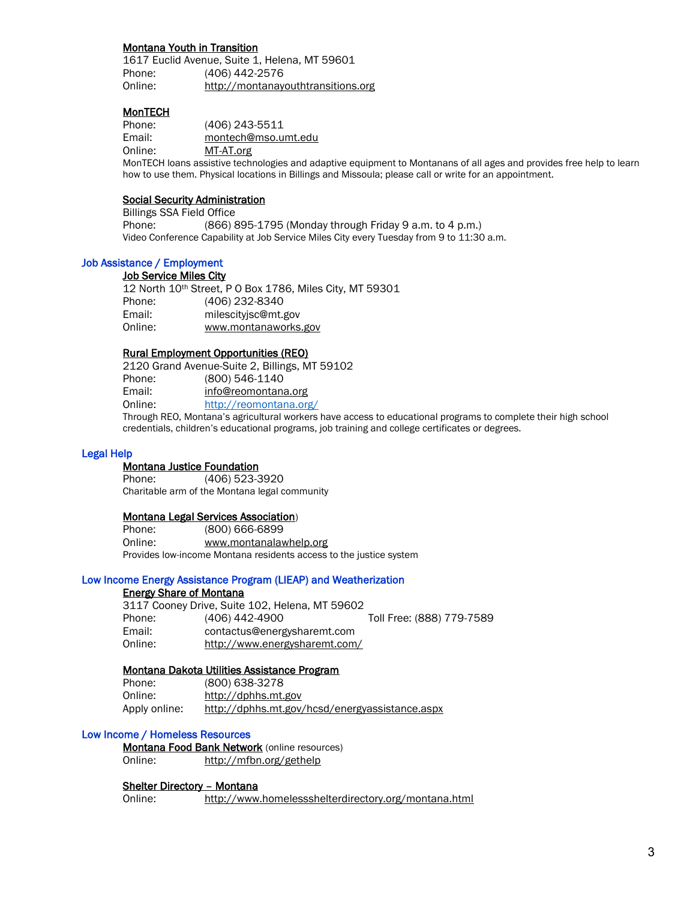#### Montana Youth in Transition

1617 Euclid Avenue, Suite 1, Helena, MT 59601 Phone: (406) 442-2576 Online: [http://montanayouthtransitions.org](http://montanayouthtransitions.org/)

#### **MonTECH**

Phone: (406) 243-5511 Email: [montech@mso.umt.edu](mailto:montech@mso.umt.edu) Online: [MT-AT.org](https://montech.ruralinstitute.umt.edu/)

 MonTECH loans assistive technologies and adaptive equipment to Montanans of all ages and provides free help to learn how to use them. Physical locations in Billings and Missoula; please call or write for an appointment.

#### Social Security Administration

Billings SSA Field Office Phone: (866) 895-1795 (Monday through Friday 9 a.m. to 4 p.m.) Video Conference Capability at Job Service Miles City every Tuesday from 9 to 11:30 a.m.

## Job Assistance / Employment

#### Job Service Miles City

12 North 10th Street, P O Box 1786, Miles City, MT 59301 Phone: (406) 232-8340 Email: milescityjsc@mt.gov Online: www.montanaworks.gov

#### Rural Employment Opportunities (REO)

2120 Grand Avenue-Suite 2, Billings, MT 59102 Phone: (800) 546-1140 Email: [info@reomontana.org](mailto:info@reomontana.org) Online: <http://reomontana.org/>

Through REO, Montana's agricultural workers have access to educational programs to complete their high school credentials, children's educational programs, job training and college certificates or degrees.

#### Legal Help

Montana Justice Foundation

Phone: (406) 523-3920 Charitable arm of the Montana legal community

#### Montana Legal Services Association)

Phone: (800) 666-6899 Online: www.montanalawhelp.org Provides low-income Montana residents access to the justice system

#### Low Income Energy Assistance Program (LIEAP) and Weatherization

#### Energy Share of Montana

3117 Cooney Drive, Suite 102, Helena, MT 59602 Phone: (406) 442-4900 Toll Free: (888) 779-7589 Email: contactus@energysharemt.com Online: <http://www.energysharemt.com/>

#### Montana Dakota Utilities Assistance Program

| Phone:        | (800) 638-3278                                 |
|---------------|------------------------------------------------|
| Online:       | http://dphhs.mt.gov                            |
| Apply online: | http://dphhs.mt.gov/hcsd/energyassistance.aspx |

#### Low Income / Homeless Resources

Montana Food Bank Network (online resources) Online: http://mfbn.org/gethelp

#### Shelter Directory – Montana

Online: http://www.homelessshelterdirectory.org/montana.html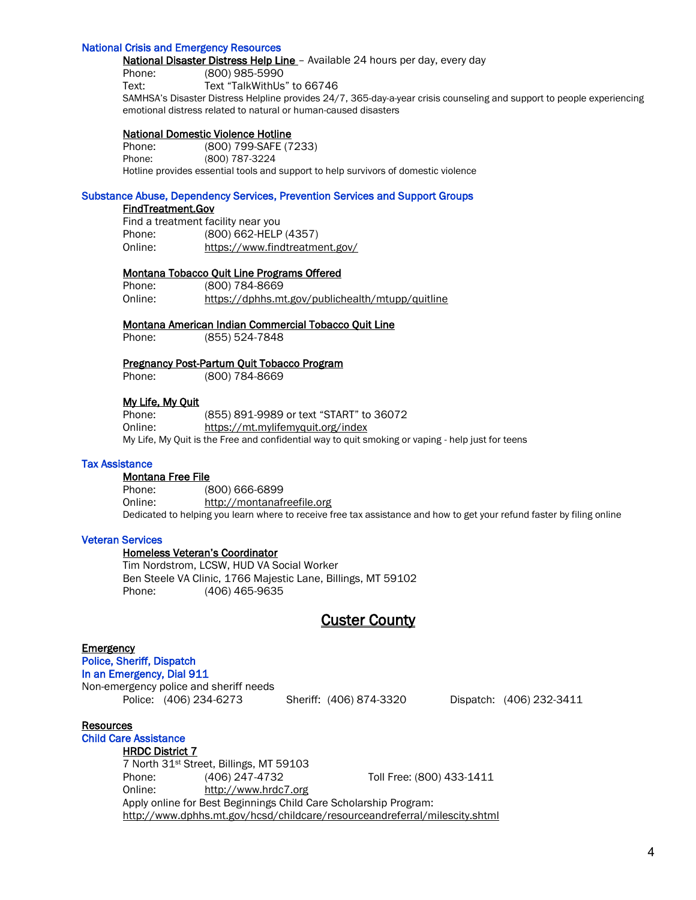#### National Crisis and Emergency Resources

National Disaster Distress Help Line - Available 24 hours per day, every day Phone: (800) 985-5990 Text: Text "TalkWithUs" to 66746 SAMHSA's Disaster Distress Helpline provides 24/7, 365-day-a-year crisis counseling and support to people experiencing emotional distress related to natural or human-caused disasters

#### National Domestic Violence Hotline

Phone: (800) 799-SAFE (7233) Phone: (800) 787-3224 Hotline provides essential tools and support to help survivors of domestic violence

#### Substance Abuse, Dependency Services, Prevention Services and Support Groups

#### FindTreatment.Gov

Find a treatment facility near you Phone: (800) 662-HELP (4357) Online: <https://www.findtreatment.gov/>

#### Montana Tobacco Quit Line Programs Offered

Phone: (800) 784-8669 Online: <https://dphhs.mt.gov/publichealth/mtupp/quitline>

#### Montana American Indian Commercial Tobacco Quit Line

Phone: (855) 524-7848

#### Pregnancy Post-Partum Quit Tobacco Program

Phone: (800) 784-8669

#### My Life, My Quit

Phone: (855) 891-9989 or text "START" to 36072 Online: <https://mt.mylifemyquit.org/index> My Life, My Quit is the Free and confidential way to quit smoking or vaping - help just for teens

#### Tax Assistance

#### Montana Free File

Phone: (800) 666-6899 Online: http://montanafreefile.org Dedicated to helping you learn where to receive free tax assistance and how to get your refund faster by filing online

#### Veteran Services

#### Homeless Veteran's Coordinator

Tim Nordstrom, LCSW, HUD VA Social Worker Ben Steele VA Clinic, 1766 Majestic Lane, Billings, MT 59102 Phone: (406) 465-9635

## Custer County

#### **Emergency**

Police, Sheriff, Dispatch In an Emergency, Dial 911 Non-emergency police and sheriff needs

Police: (406) 234-6273 Sheriff: (406) 874-3320 Dispatch: (406) 232-3411

#### Resources

#### Child Care Assistance

#### HRDC District 7

7 North 31st Street, Billings, MT 59103 Phone: (406) 247-4732 Toll Free: (800) 433-1411 Online: [http://www.hrdc7.org](http://www.hrdc7.org/) Apply online for Best Beginnings Child Care Scholarship Program: <http://www.dphhs.mt.gov/hcsd/childcare/resourceandreferral/milescity.shtml>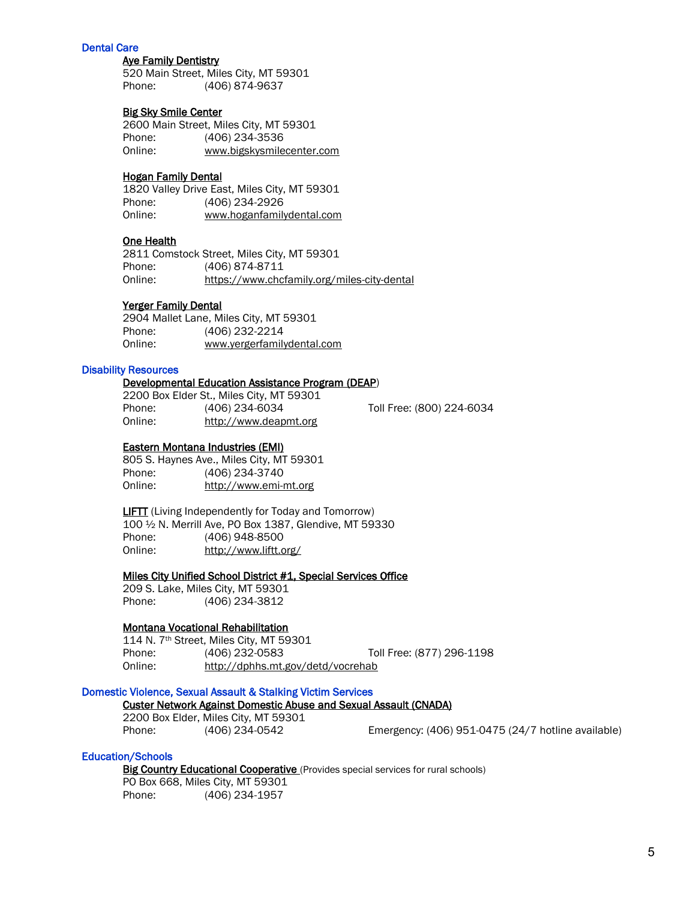#### Dental Care

#### Aye Family Dentistry

520 Main Street, Miles City, MT 59301 Phone: (406) 874-9637

#### Big Sky Smile Center

2600 Main Street, Miles City, MT 59301 Phone: (406) 234-3536 Online: www.bigskysmilecenter.com

#### Hogan Family Dental

1820 Valley Drive East, Miles City, MT 59301 Phone: (406) 234-2926 Online: www.hoganfamilydental.com

#### One Health

2811 Comstock Street, Miles City, MT 59301 Phone: (406) 874-8711 Online: <https://www.chcfamily.org/miles-city-dental>

#### Yerger Family Dental

2904 Mallet Lane, Miles City, MT 59301 Phone: (406) 232-2214<br>Online: www.vergerfamily www.yergerfamilydental.com

#### Disability Resources

#### Developmental Education Assistance Program (DEAP)

2200 Box Elder St., Miles City, MT 59301 Phone: (406) 234-6034 Toll Free: (800) 224-6034 Online: [http://www.deapmt.org](http://www.deapmt.org/)

#### Eastern Montana Industries (EMI)

805 S. Haynes Ave., Miles City, MT 59301 Phone: (406) 234-3740 Online: [http://www.emi-mt.org](http://www.emi-mt.org/)

**LIFTT** (Living Independently for Today and Tomorrow) 100 ½ N. Merrill Ave, PO Box 1387, Glendive, MT 59330 Phone: (406) 948-8500 Online: <http://www.liftt.org/>

#### Miles City Unified School District #1, Special Services Office

209 S. Lake, Miles City, MT 59301 Phone: (406) 234-3812

#### Montana Vocational Rehabilitation

114 N. 7th Street, Miles City, MT 59301 Phone: (406) 232-0583 Toll Free: (877) 296-1198 Online: http://dphhs.mt.gov/detd/vocrehab

#### Domestic Violence, Sexual Assault & Stalking Victim Services

#### Custer Network Against Domestic Abuse and Sexual Assault (CNADA)

2200 Box Elder, Miles City, MT 59301

Phone: (406) 234-0542 Emergency: (406) 951-0475 (24/7 hotline available)

#### Education/Schools

Big Country Educational Cooperative (Provides special services for rural schools) PO Box 668, Miles City, MT 59301

Phone: (406) 234-1957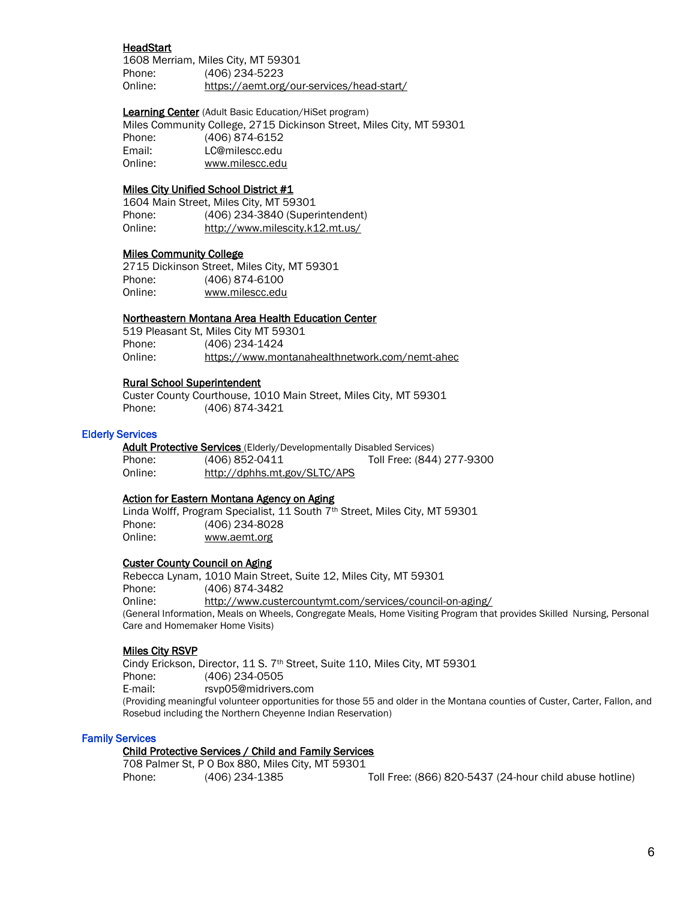#### HeadStart

1608 Merriam, Miles City, MT 59301 Phone: (406) 234-5223 Online: https://aemt.org/our-services/head-start/

Learning Center (Adult Basic Education/HiSet program)

 Miles Community College, 2715 Dickinson Street, Miles City, MT 59301 Phone: (406) 874-6152 Email: LC@milescc.edu Online: www.milescc.edu

#### Miles City Unified School District #1

1604 Main Street, Miles City, MT 59301 Phone: (406) 234-3840 (Superintendent) Online: http://www.milescity.k12.mt.us/

#### Miles Community College

2715 Dickinson Street, Miles City, MT 59301 Phone: (406) 874-6100 Online: www.milescc.edu

#### Northeastern Montana Area Health Education Center

519 Pleasant St, Miles City MT 59301 Phone: (406) 234-1424 Online: <https://www.montanahealthnetwork.com/nemt-ahec>

#### Rural School Superintendent

Custer County Courthouse, 1010 Main Street, Miles City, MT 59301 Phone: (406) 874-3421

#### Elderly Services

Adult Protective Services (Elderly/Developmentally Disabled Services) Phone: (406) 852-0411 Toll Free: (844) 277-9300 Online: http://dphhs.mt.gov/SLTC/APS

#### Action for Eastern Montana Agency on Aging

Linda Wolff, Program Specialist, 11 South 7<sup>th</sup> Street, Miles City, MT 59301 Phone: (406) 234-8028 Online: www.aemt.org

#### Custer County Council on Aging

Rebecca Lynam, 1010 Main Street, Suite 12, Miles City, MT 59301 Phone: (406) 874-3482 Online: <http://www.custercountymt.com/services/council-on-aging/> (General Information, Meals on Wheels, Congregate Meals, Home Visiting Program that provides Skilled Nursing, Personal Care and Homemaker Home Visits)

#### Miles City RSVP

Cindy Erickson, Director, 11 S. 7<sup>th</sup> Street, Suite 110, Miles City, MT 59301 Phone: (406) 234-0505 E-mail: [rsvp05@midrivers.com](mailto:rsvp05@midrivers.com) (Providing meaningful volunteer opportunities for those 55 and older in the Montana counties of Custer, Carter, Fallon, and Rosebud including the Northern Cheyenne Indian Reservation)

#### Family Services

## Child Protective Services / Child and Family Services

708 Palmer St, P O Box 880, Miles City, MT 59301

Phone: (406) 234-1385 Toll Free: (866) 820-5437 (24-hour child abuse hotline)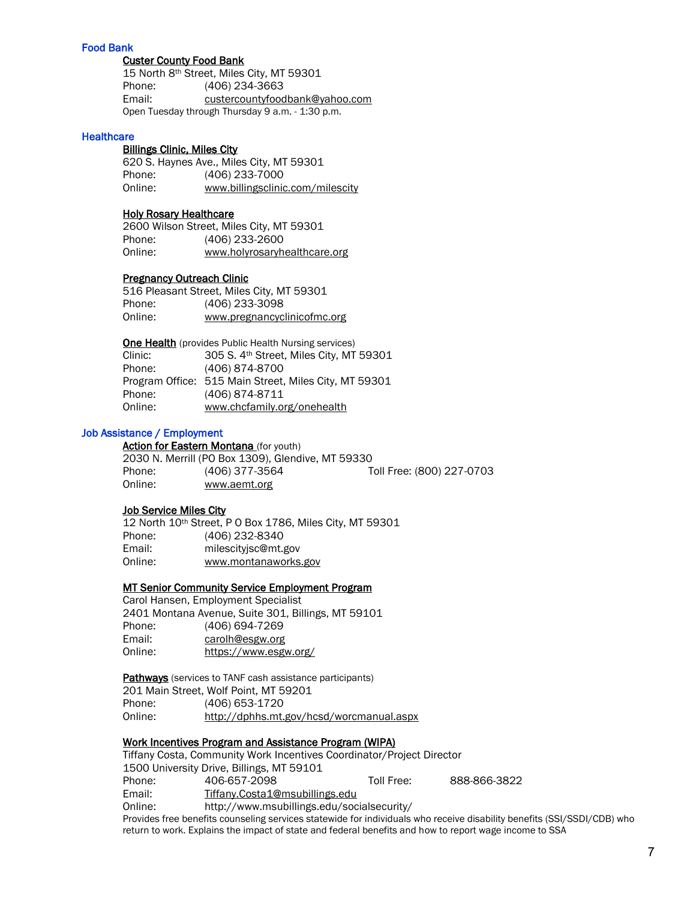#### Food Bank

#### Custer County Food Bank

15 North 8th Street, Miles City, MT 59301 Phone: (406) 234-3663 Email: [custercountyfoodbank@yahoo.com](mailto:custercountyfoodbank@yahoo.com) Open Tuesday through Thursday 9 a.m. - 1:30 p.m.

#### **Healthcare**

#### Billings Clinic, Miles City

 620 S. Haynes Ave., Miles City, MT 59301 Phone: (406) 233-7000 Online: www.billingsclinic.com/milescity

#### Holy Rosary Healthcare

2600 Wilson Street, Miles City, MT 59301 Phone: (406) 233-2600 Online: www.holyrosaryhealthcare.org

#### Pregnancy Outreach Clinic

|         | 516 Pleasant Street, Miles City, MT 59301 |
|---------|-------------------------------------------|
| Phone:  | (406) 233-3098                            |
| Online: | www.pregnancyclinicofmc.org               |

**One Health** (provides Public Health Nursing services) Clinic: 305 S. 4th Street, Miles City, MT 59301

| Ciinic: | 305 S. 4" Street, Miles City, MT 59301                |
|---------|-------------------------------------------------------|
| Phone:  | (406) 874-8700                                        |
|         | Program Office: 515 Main Street, Miles City, MT 59301 |
| Phone:  | (406) 874-8711                                        |
| Online: | www.chcfamily.org/onehealth                           |

#### Job Assistance / Employment

Action for Eastern Montana (for youth) 2030 N. Merrill (PO Box 1309), Glendive, MT 59330 Phone: (406) 377-3564 Toll Free: (800) 227-0703 Online: www.aemt.org

#### Job Service Miles City

12 North 10th Street, P O Box 1786, Miles City, MT 59301 Phone: (406) 232-8340 Email: milescityjsc@mt.gov Online: www.montanaworks.gov

#### MT Senior Community Service Employment Program

Carol Hansen, Employment Specialist 2401 Montana Avenue, Suite 301, Billings, MT 59101 Phone: (406) 694-7269 Email: [carolh@esgw.org](mailto:carolh@esgw.org) Online: <https://www.esgw.org/>

Pathways (services to TANF cash assistance participants)

201 Main Street, Wolf Point, MT 59201 Phone: (406) 653-1720 Online: http://dphhs.mt.gov/hcsd/worcmanual.aspx

#### Work Incentives Program and Assistance Program (WIPA)

|         | Tiffany Costa, Community Work Incentives Coordinator/Project Director                                    |            |              |
|---------|----------------------------------------------------------------------------------------------------------|------------|--------------|
|         | 1500 University Drive, Billings, MT 59101                                                                |            |              |
| Phone:  | 406-657-2098                                                                                             | Toll Free: | 888-866-3822 |
| Email:  | Tiffany.Costa1@msubillings.edu                                                                           |            |              |
| Online: | http://www.msubillings.edu/socialsecurity/                                                               |            |              |
|         | Provides free benefits counseling services statewide for individuals who receive disability benefits (SS |            |              |

I/SSDI/CDB) who return to work. Explains the impact of state and federal benefits and how to report wage income to SSA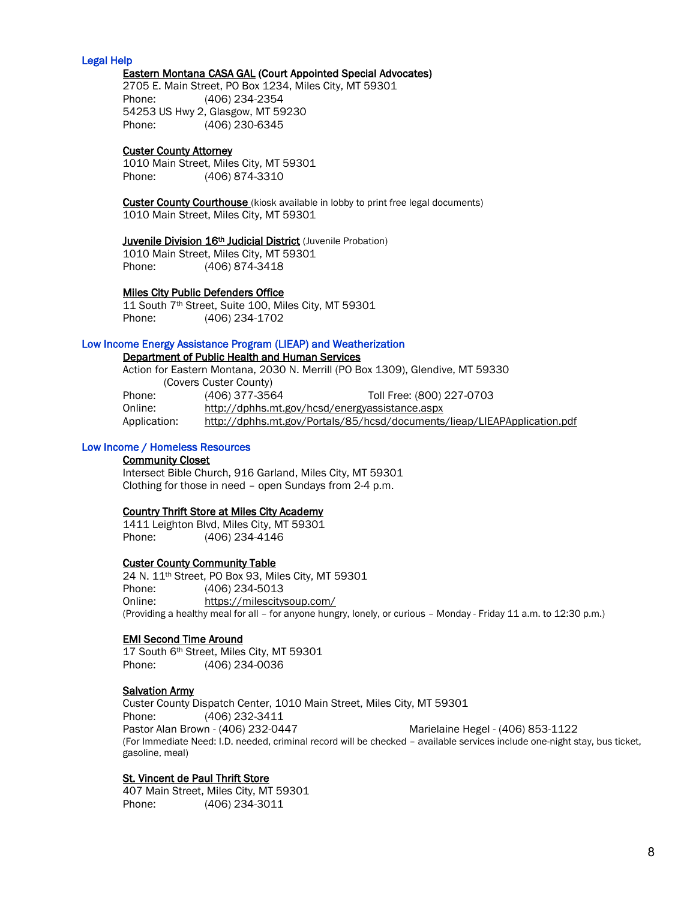#### Legal Help

#### Eastern Montana CASA GAL (Court Appointed Special Advocates)

2705 E. Main Street, PO Box 1234, Miles City, MT 59301 Phone: (406) 234-2354 54253 US Hwy 2, Glasgow, MT 59230 Phone: (406) 230-6345

#### Custer County Attorney

1010 Main Street, Miles City, MT 59301 Phone: (406) 874-3310

**Custer County Courthouse** (kiosk available in lobby to print free legal documents) 1010 Main Street, Miles City, MT 59301

#### Juvenile Division 16<sup>th</sup> Judicial District (Juvenile Probation)

1010 Main Street, Miles City, MT 59301 Phone: (406) 874-3418

#### Miles City Public Defenders Office

11 South 7th Street, Suite 100, Miles City, MT 59301 Phone: (406) 234-1702

#### Low Income Energy Assistance Program (LIEAP) and Weatherization

#### Department of Public Health and Human Services

Action for Eastern Montana, 2030 N. Merrill (PO Box 1309), Glendive, MT 59330 (Covers Custer County) Phone: (406) 377-3564 Toll Free: (800) 227-0703 Online: <http://dphhs.mt.gov/hcsd/energyassistance.aspx> Application: <http://dphhs.mt.gov/Portals/85/hcsd/documents/lieap/LIEAPApplication.pdf>

#### Low Income / Homeless Resources

#### Community Closet

Intersect Bible Church, 916 Garland, Miles City, MT 59301 Clothing for those in need – open Sundays from 2-4 p.m.

#### Country Thrift Store at Miles City Academy

1411 Leighton Blvd, Miles City, MT 59301 Phone: (406) 234-4146

#### Custer County Community Table

 24 N. 11th Street, PO Box 93, Miles City, MT 59301 Phone: (406) 234-5013 Online: https://milescitysoup.com/ (Providing a healthy meal for all – for anyone hungry, lonely, or curious – Monday - Friday 11 a.m. to 12:30 p.m.)

#### EMI Second Time Around

17 South 6th Street, Miles City, MT 59301 Phone: (406) 234-0036

#### **Salvation Army**

Custer County Dispatch Center, 1010 Main Street, Miles City, MT 59301 Phone: (406) 232-3411 Pastor Alan Brown - (406) 232-0447 Marielaine Hegel - (406) 853-1122 (For Immediate Need: I.D. needed, criminal record will be checked – available services include one-night stay, bus ticket, gasoline, meal)

#### St. Vincent de Paul Thrift Store

407 Main Street, Miles City, MT 59301 Phone: (406) 234-3011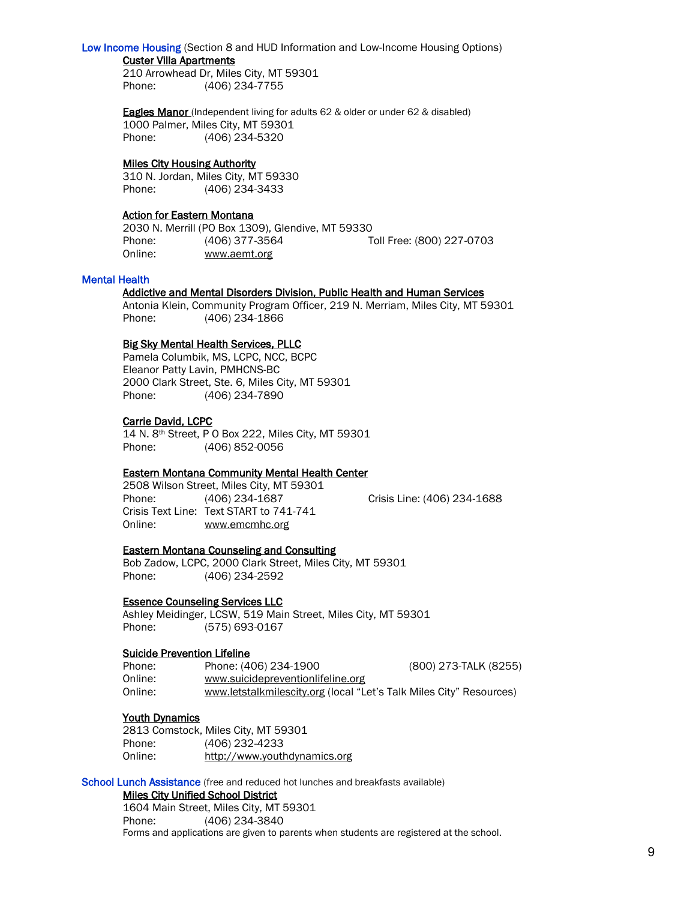#### Low Income Housing (Section 8 and HUD Information and Low-Income Housing Options)

#### Custer Villa Apartments

210 Arrowhead Dr, Miles City, MT 59301 Phone: (406) 234-7755

**Eagles Manor** (Independent living for adults 62 & older or under 62 & disabled) 1000 Palmer, Miles City, MT 59301 Phone: (406) 234-5320

#### Miles City Housing Authority

310 N. Jordan, Miles City, MT 59330 Phone: (406) 234-3433

#### Action for Eastern Montana

2030 N. Merrill (PO Box 1309), Glendive, MT 59330 Phone: (406) 377-3564 Toll Free: (800) 227-0703 Online: www.aemt.org

#### Mental Health

#### Addictive and Mental Disorders Division, Public Health and Human Services

Antonia Klein, Community Program Officer, 219 N. Merriam, Miles City, MT 59301 Phone: (406) 234-1866

#### Big Sky Mental Health Services, PLLC

Pamela Columbik, MS, LCPC, NCC, BCPC Eleanor Patty Lavin, PMHCNS-BC 2000 Clark Street, Ste. 6, Miles City, MT 59301 Phone: (406) 234-7890

#### Carrie David, LCPC

14 N. 8th Street, P O Box 222, Miles City, MT 59301 Phone: (406) 852-0056

#### Eastern Montana Community Mental Health Center

2508 Wilson Street, Miles City, MT 59301 Phone: (406) 234-1687 Crisis Line: (406) 234-1688 Crisis Text Line: Text START to 741-741 Online: [www.emcmhc.org](http://www.emcmhc.org/)

#### Eastern Montana Counseling and Consulting

Bob Zadow, LCPC, 2000 Clark Street, Miles City, MT 59301 Phone: (406) 234-2592

#### Essence Counseling Services LLC

Ashley Meidinger, LCSW, 519 Main Street, Miles City, MT 59301 Phone: (575) 693-0167

#### Suicide Prevention Lifeline

| Phone:  | Phone: (406) 234-1900                                               | (800) 273-TALK (8255) |
|---------|---------------------------------------------------------------------|-----------------------|
| Online: | www.suicidepreventionlifeline.org                                   |                       |
| Online: | www.letstalkmilescity.org (local "Let's Talk Miles City" Resources) |                       |

#### Youth Dynamics

2813 Comstock, Miles City, MT 59301 Phone: (406) 232-4233 Online: http://www.youthdynamics.org

School Lunch Assistance (free and reduced hot lunches and breakfasts available)

#### Miles City Unified School District

1604 Main Street, Miles City, MT 59301 Phone: (406) 234-3840 Forms and applications are given to parents when students are registered at the school.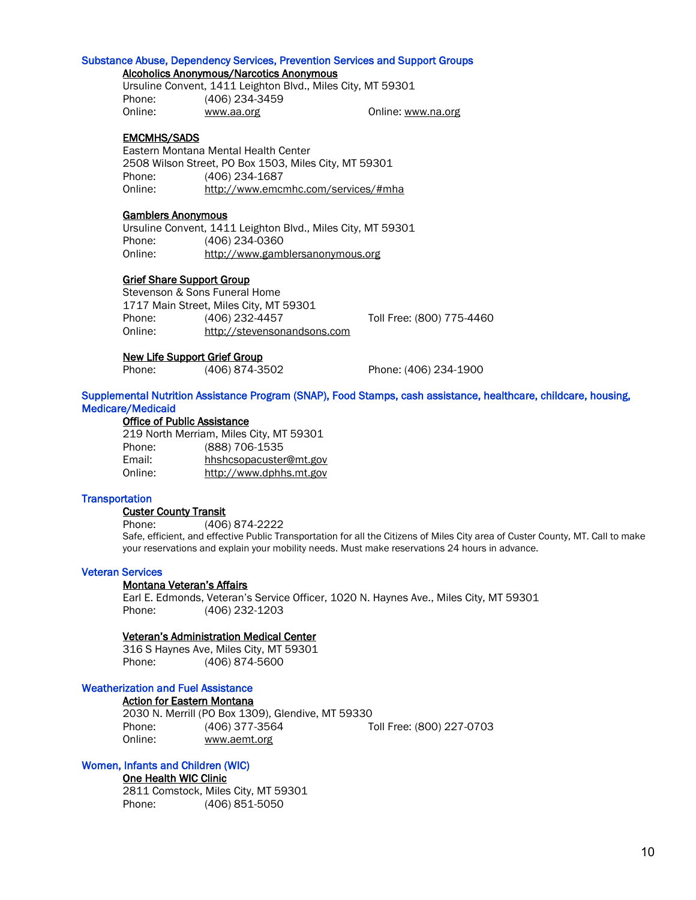#### Substance Abuse, Dependency Services, Prevention Services and Support Groups

#### Alcoholics Anonymous/Narcotics Anonymous

Ursuline Convent, 1411 Leighton Blvd., Miles City, MT 59301 Phone: (406) 234-3459 Online: [www.aa.org](http://www.aa.org/) Conline: [www.na.org](http://www.na.org/)

#### EMCMHS/SADS

 Eastern Montana Mental Health Center 2508 Wilson Street, PO Box 1503, Miles City, MT 59301 Phone: (406) 234-1687 Online: http://www.emcmhc.com/services/#mha

#### Gamblers Anonymous

Ursuline Convent, 1411 Leighton Blvd., Miles City, MT 59301 Phone: (406) 234-0360 Online: [http://www.gamblersanonymous.org](http://www.gamblersanonymous.org/)

#### Grief Share Support Group

Stevenson & Sons Funeral Home 1717 Main Street, Miles City, MT 59301 Phone: (406) 232-4457 Toll Free: (800) 775-4460 Online: http://stevensonandsons.com

#### New Life Support Grief Group

Phone: (406) 874-3502 Phone: (406) 234-1900

#### Supplemental Nutrition Assistance Program (SNAP), Food Stamps, cash assistance, healthcare, childcare, housing, Medicare/Medicaid

#### Office of Public Assistance

219 North Merriam, Miles City, MT 59301 Phone: (888) 706-1535 Email: [hhshcsopacuster@mt.gov](mailto:hhshcsopacuster@mt.gov) Online: [http://www.dphhs.mt.gov](http://www.dphhs.mt.gov/)

#### **Transportation**

#### Custer County Transit

Phone: (406) 874-2222

Safe, efficient, and effective Public Transportation for all the Citizens of Miles City area of Custer County, MT. Call to make your reservations and explain your mobility needs. Must make reservations 24 hours in advance.

#### Veteran Services

#### Montana Veteran's Affairs

Earl E. Edmonds, Veteran's Service Officer, 1020 N. Haynes Ave., Miles City, MT 59301 Phone: (406) 232-1203

#### Veteran's Administration Medical Center

316 S Haynes Ave, Miles City, MT 59301 Phone: (406) 874-5600

#### Weatherization and Fuel Assistance

#### Action for Eastern Montana

2030 N. Merrill (PO Box 1309), Glendive, MT 59330 Phone: (406) 377-3564 Toll Free: (800) 227-0703 Online: www.aemt.org

#### Women, Infants and Children (WIC)

#### One Health WIC Clinic

2811 Comstock, Miles City, MT 59301 Phone: (406) 851-5050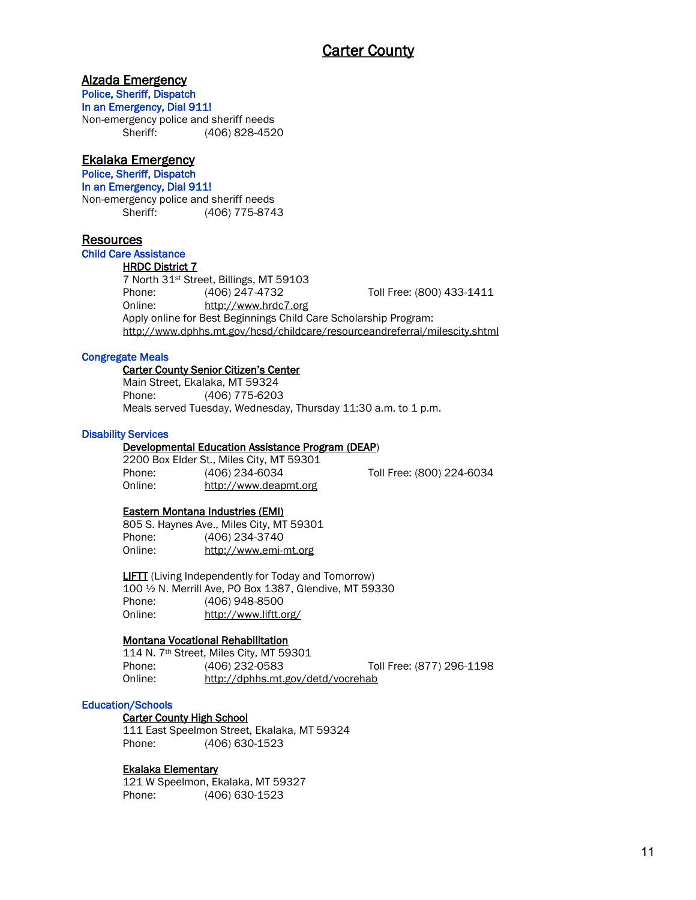## Alzada Emergency

Police, Sheriff, Dispatch

In an Emergency, Dial 911!

Non-emergency police and sheriff needs Sheriff: (406) 828-4520

## Ekalaka Emergency

Police, Sheriff, Dispatch

In an Emergency, Dial 911!

Non-emergency police and sheriff needs Sheriff: (406) 775-8743

## **Resources**

Child Care Assistance

#### HRDC District 7

7 North 31st Street, Billings, MT 59103 Phone: (406) 247-4732 Toll Free: (800) 433-1411 Online: [http://www.hrdc7.org](http://www.hrdc7.org/) Apply online for Best Beginnings Child Care Scholarship Program: <http://www.dphhs.mt.gov/hcsd/childcare/resourceandreferral/milescity.shtml>

#### Congregate Meals

#### Carter County Senior Citizen's Center

Main Street, Ekalaka, MT 59324 Phone: (406) 775-6203 Meals served Tuesday, Wednesday, Thursday 11:30 a.m. to 1 p.m.

#### Disability Services

#### Developmental Education Assistance Program (DEAP)

2200 Box Elder St., Miles City, MT 59301 Phone: (406) 234-6034 Toll Free: (800) 224-6034 Online: [http://www.deapmt.org](http://www.deapmt.org/)

#### Eastern Montana Industries (EMI)

805 S. Haynes Ave., Miles City, MT 59301 Phone: (406) 234-3740 Online: http://www.emi-mt.org

 LIFTT (Living Independently for Today and Tomorrow) 100 ½ N. Merrill Ave, PO Box 1387, Glendive, MT 59330 Phone: (406) 948-8500 Online: <http://www.liftt.org/>

## Montana Vocational Rehabilitation

114 N. 7th Street, Miles City, MT 59301 Phone: (406) 232-0583 Toll Free: (877) 296-1198 Online: http://dphhs.mt.gov/detd/vocrehab

#### Education/Schools

#### Carter County High School

111 East Speelmon Street, Ekalaka, MT 59324 Phone: (406) 630-1523

#### Ekalaka Elementary

121 W Speelmon, Ekalaka, MT 59327 Phone: (406) 630-1523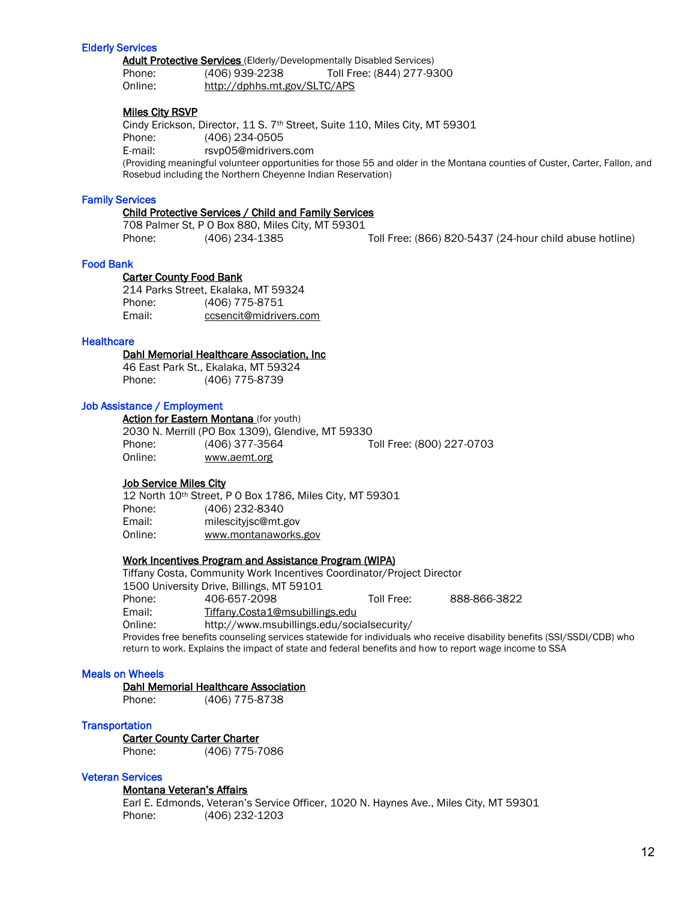#### Elderly Services

Adult Protective Services (Elderly/Developmentally Disabled Services) Phone: (406) 939-2238 Toll Free: (844) 277-9300 Online: http://dphhs.mt.gov/SLTC/APS

#### Miles City RSVP

Cindy Erickson, Director, 11 S. 7<sup>th</sup> Street, Suite 110, Miles City, MT 59301 Phone: (406) 234-0505 E-mail: [rsvp05@midrivers.com](mailto:rsvp05@midrivers.com) (Providing meaningful volunteer opportunities for those 55 and older in the Montana counties of Custer, Carter, Fallon, and Rosebud including the Northern Cheyenne Indian Reservation)

#### Family Services

#### Child Protective Services / Child and Family Services

708 Palmer St, P O Box 880, Miles City, MT 59301 Phone: (406) 234-1385 Toll Free: (866) 820-5437 (24-hour child abuse hotline)

#### Food Bank

 Carter County Food Bank 214 Parks Street, Ekalaka, MT 59324 Phone: (406) 775-8751 Email: ccsencit@midrivers.com

#### **Healthcare**

#### Dahl Memorial Healthcare Association, Inc

 46 East Park St., Ekalaka, MT 59324 Phone: (406) 775-8739

#### Job Assistance / Employment

Action for Eastern Montana (for youth) 2030 N. Merrill (PO Box 1309), Glendive, MT 59330 Phone: (406) 377-3564 Toll Free: (800) 227-0703 Online: www.aemt.org

#### Job Service Miles City

12 North 10th Street, P O Box 1786, Miles City, MT 59301 Phone: (406) 232-8340 Email: milescityjsc@mt.gov Online: www.montanaworks.gov

#### Work Incentives Program and Assistance Program (WIPA)

Tiffany Costa, Community Work Incentives Coordinator/Project Director 1500 University Drive, Billings, MT 59101 Phone: 406-657-2098 Toll Free: 888-866-3822 Email: [Tiffany.Costa1@msubillings.edu](mailto:Tiffany.Costa1@msubillings.edu) Online: http://www.msubillings.edu/socialsecurity/ Provides free benefits counseling services statewide for individuals who receive disability benefits (SSI/SSDI/CDB) who return to work. Explains the impact of state and federal benefits and how to report wage income to SSA

#### Meals on Wheels

Dahl Memorial Healthcare Association

Phone: (406) 775-8738

#### **Transportation**

Carter County Carter Charter Phone: (406) 775-7086

## Veteran Services

#### Montana Veteran's Affairs

Earl E. Edmonds, Veteran's Service Officer, 1020 N. Haynes Ave., Miles City, MT 59301 Phone: (406) 232-1203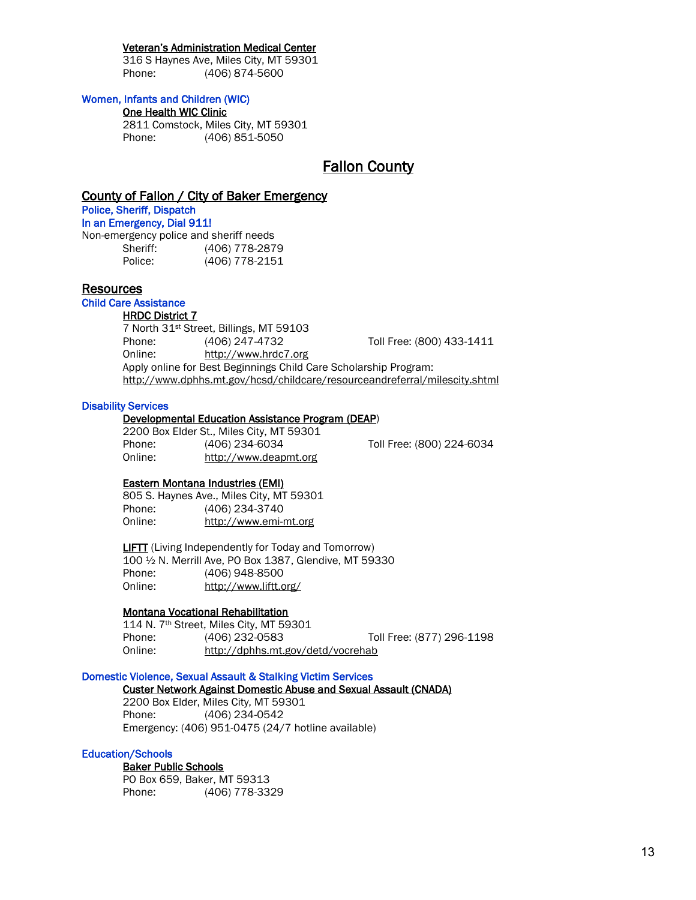#### Veteran's Administration Medical Center

316 S Haynes Ave, Miles City, MT 59301 Phone: (406) 874-5600

#### Women, Infants and Children (WIC)

#### One Health WIC Clinic

2811 Comstock, Miles City, MT 59301 Phone: (406) 851-5050

## Fallon County

#### County of Fallon / City of Baker Emergency

Police, Sheriff, Dispatch In an Emergency, Dial 911! Non-emergency police and sheriff needs

| on onlongonoy ponoo ana ononin nooao |                |
|--------------------------------------|----------------|
| Sheriff:                             | (406) 778-2879 |
| Police:                              | (406) 778-2151 |

#### Resources

Child Care Assistance

#### HRDC District 7

7 North 31st Street, Billings, MT 59103 Phone: (406) 247-4732 Toll Free: (800) 433-1411 Online: [http://www.hrdc7.org](http://www.hrdc7.org/) Apply online for Best Beginnings Child Care Scholarship Program: <http://www.dphhs.mt.gov/hcsd/childcare/resourceandreferral/milescity.shtml>

#### Disability Services

#### Developmental Education Assistance Program (DEAP)

2200 Box Elder St., Miles City, MT 59301 Phone: (406) 234-6034 Toll Free: (800) 224-6034 Online: [http://www.deapmt.org](http://www.deapmt.org/)

#### Eastern Montana Industries (EMI)

805 S. Haynes Ave., Miles City, MT 59301 Phone: (406) 234-3740 Online: http://www.emi-mt.org

**LIFTT** (Living Independently for Today and Tomorrow) 100 ½ N. Merrill Ave, PO Box 1387, Glendive, MT 59330 Phone: (406) 948-8500 Online: <http://www.liftt.org/>

#### Montana Vocational Rehabilitation

114 N. 7th Street, Miles City, MT 59301 Phone: (406) 232-0583 Toll Free: (877) 296-1198 Online: http://dphhs.mt.gov/detd/vocrehab

#### Domestic Violence, Sexual Assault & Stalking Victim Services

Custer Network Against Domestic Abuse and Sexual Assault (CNADA)

2200 Box Elder, Miles City, MT 59301 Phone: (406) 234-0542 Emergency: (406) 951-0475 (24/7 hotline available)

#### Education/Schools

 Baker Public Schools PO Box 659, Baker, MT 59313 Phone: (406) 778-3329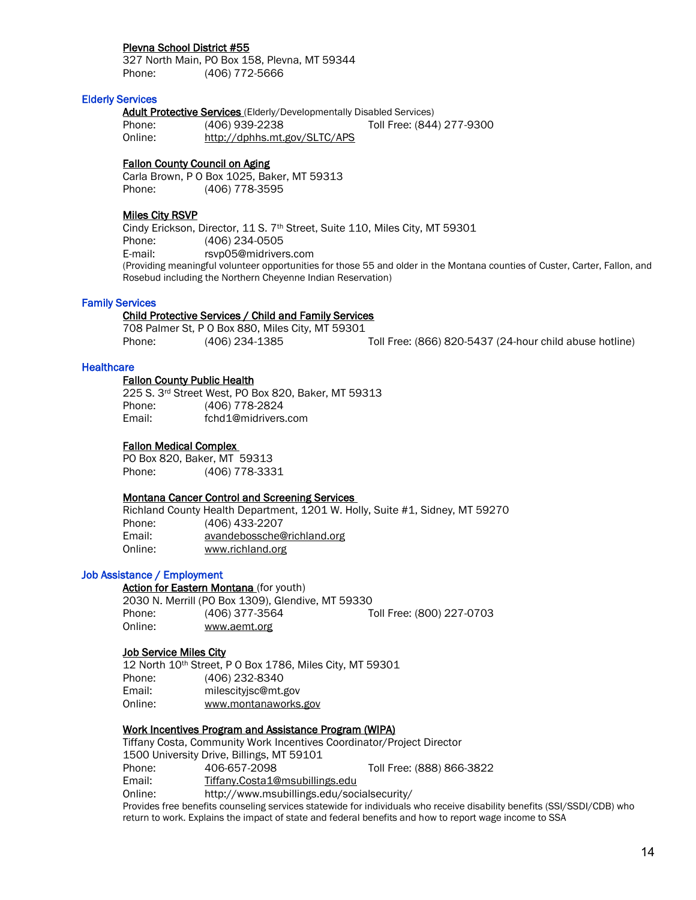#### Plevna School District #55

327 North Main, PO Box 158, Plevna, MT 59344 Phone: (406) 772-5666

#### Elderly Services

Adult Protective Services (Elderly/Developmentally Disabled Services) Phone: (406) 939-2238 Toll Free: (844) 277-9300 Online: http://dphhs.mt.gov/SLTC/APS

Fallon County Council on Aging

Carla Brown, P O Box 1025, Baker, MT 59313 Phone: (406) 778-3595

#### Miles City RSVP

Cindy Erickson, Director, 11 S. 7<sup>th</sup> Street, Suite 110, Miles City, MT 59301 Phone: (406) 234-0505 E-mail: [rsvp05@midrivers.com](mailto:rsvp05@midrivers.com) (Providing meaningful volunteer opportunities for those 55 and older in the Montana counties of Custer, Carter, Fallon, and Rosebud including the Northern Cheyenne Indian Reservation)

#### Family Services

#### Child Protective Services / Child and Family Services

708 Palmer St, P O Box 880, Miles City, MT 59301 Phone: (406) 234-1385 Toll Free: (866) 820-5437 (24-hour child abuse hotline)

#### **Healthcare**

#### Fallon County Public Health

 225 S. 3rd Street West, PO Box 820, Baker, MT 59313 Phone: (406) 778-2824 Email: fchd1@midrivers.com

#### [Fallon Medical Complex](http://www.fallonmedical.org/)

PO Box 820, Baker, MT 59313 Phone: (406) 778-3331

#### Montana Cancer Control and Screening Services

Richland County Health Department, 1201 W. Holly, Suite #1, Sidney, MT 59270 Phone: (406) 433-2207 Email: [avandebossche@richland.org](mailto:avandebossche@richland.org) Online: [www.richland.org](http://www.richland.org/)

#### Job Assistance / Employment

Action for Eastern Montana (for youth) 2030 N. Merrill (PO Box 1309), Glendive, MT 59330 Phone: (406) 377-3564 Toll Free: (800) 227-0703 Online: www.aemt.org

#### Job Service Miles City

12 North 10th Street, P O Box 1786, Miles City, MT 59301 Phone: (406) 232-8340 Email: milescityjsc@mt.gov Online: www.montanaworks.gov

#### Work Incentives Program and Assistance Program (WIPA)

Tiffany Costa, Community Work Incentives Coordinator/Project Director 1500 University Drive, Billings, MT 59101 Phone: 406-657-2098 Toll Free: (888) 866-3822 Email: [Tiffany.Costa1@msubillings.edu](mailto:Tiffany.Costa1@msubillings.edu) Online: http://www.msubillings.edu/socialsecurity/ Provides free benefits counseling services statewide for individuals who receive disability benefits (SSI/SSDI/CDB) who return to work. Explains the impact of state and federal benefits and how to report wage income to SSA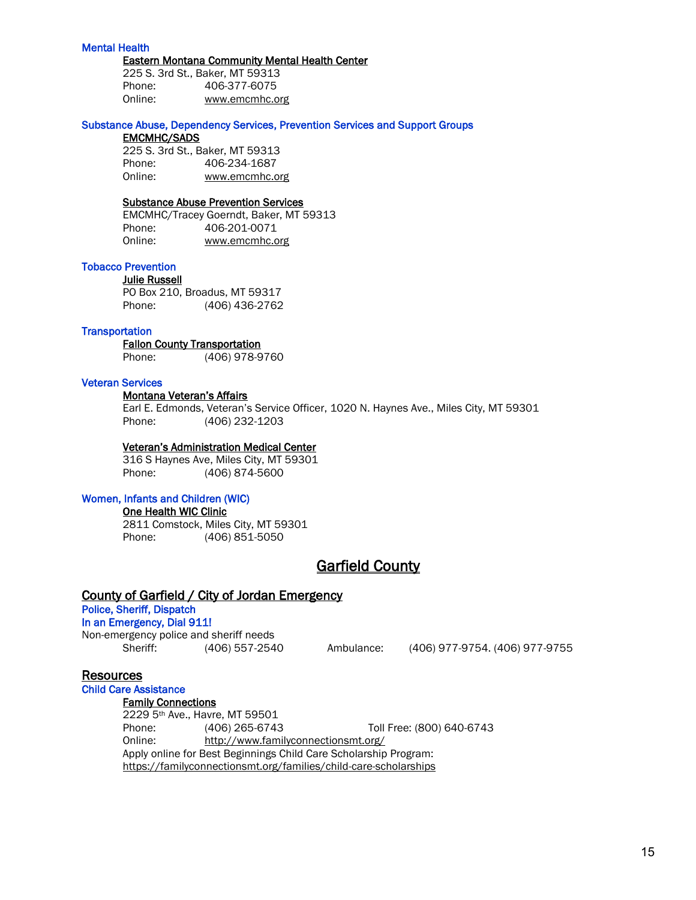#### Mental Health

#### Eastern Montana Community Mental Health Center

225 S. 3rd St., Baker, MT 59313 Phone: 406-377-6075 Online: [www.emcmhc.org](http://www.emcmhc.org/)

#### Substance Abuse, Dependency Services, Prevention Services and Support Groups

#### EMCMHC/SADS

225 S. 3rd St., Baker, MT 59313 Phone: 406-234-1687 Online: [www.emcmhc.org](http://www.emcmhc.org/)

## Substance Abuse Prevention Services

EMCMHC/Tracey Goerndt, Baker, MT 59313 Phone: 406-201-0071 Online: [www.emcmhc.org](http://www.emcmhc.org/)

#### Tobacco Prevention

Julie Russell PO Box 210, Broadus, MT 59317 Phone: (406) 436-2762

#### **Transportation**

#### Fallon County Transportation

Phone: (406) 978-9760

#### Veteran Services

#### Montana Veteran's Affairs

Earl E. Edmonds, Veteran's Service Officer, 1020 N. Haynes Ave., Miles City, MT 59301 Phone: (406) 232-1203

#### Veteran's Administration Medical Center

316 S Haynes Ave, Miles City, MT 59301 Phone: (406) 874-5600

#### Women, Infants and Children (WIC)

One Health WIC Clinic

2811 Comstock, Miles City, MT 59301 Phone: (406) 851-5050

## Garfield County

#### County of Garfield / City of Jordan Emergency

## Police, Sheriff, Dispatch

In an Emergency, Dial 911! Non-emergency police and sheriff needs

Sheriff: (406) 557-2540 Ambulance: (406) 977-9754. (406) 977-9755

## **Resources**

## Child Care Assistance

Family Connections 2229 5th Ave., Havre, MT 59501

Phone: (406) 265-6743 Toll Free: (800) 640-6743 Online: http://www.familyconnectionsmt.org/ Apply online for Best Beginnings Child Care Scholarship Program: https://familyconnectionsmt.org/families/child-care-scholarships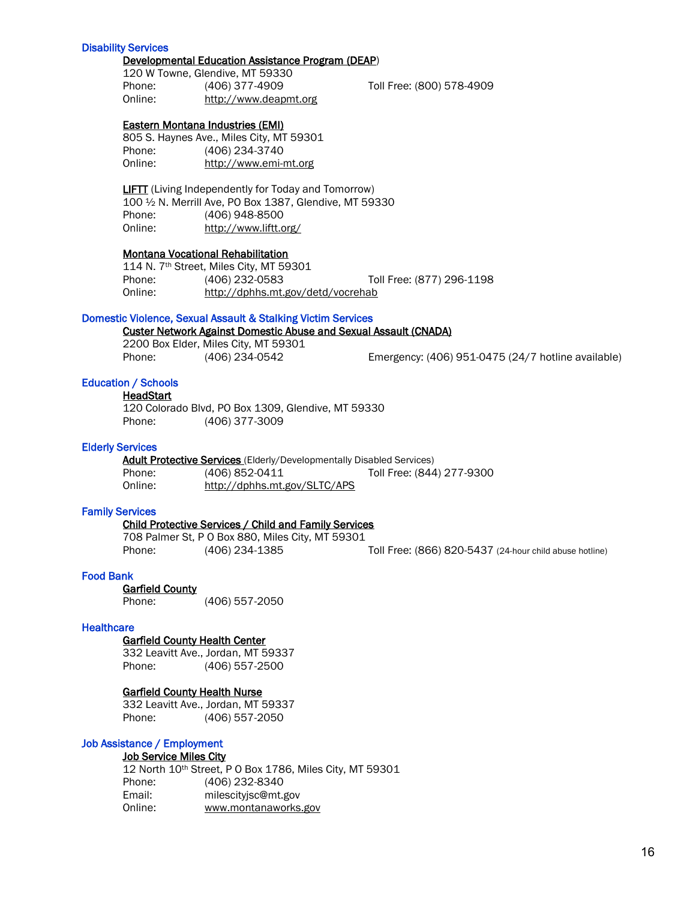#### Disability Services

#### Developmental Education Assistance Program (DEAP)

120 W Towne, Glendive, MT 59330 Phone: (406) 377-4909 Toll Free: (800) 578-4909 Online: http://www.deapmt.org

Eastern Montana Industries (EMI)

805 S. Haynes Ave., Miles City, MT 59301 Phone: (406) 234-3740 Online: http://www.emi-mt.org

 LIFTT (Living Independently for Today and Tomorrow) 100 ½ N. Merrill Ave, PO Box 1387, Glendive, MT 59330 Phone: (406) 948-8500 Online: <http://www.liftt.org/>

#### Montana Vocational Rehabilitation

114 N. 7th Street, Miles City, MT 59301 Phone: (406) 232-0583 Toll Free: (877) 296-1198 Online: http://dphhs.mt.gov/detd/vocrehab

#### Domestic Violence, Sexual Assault & Stalking Victim Services

Custer Network Against Domestic Abuse and Sexual Assault (CNADA)

2200 Box Elder, Miles City, MT 59301

Phone: (406) 234-0542 Emergency: (406) 951-0475 (24/7 hotline available)

#### Education / Schools

#### **HeadStart**

120 Colorado Blvd, PO Box 1309, Glendive, MT 59330 Phone: (406) 377-3009

#### Elderly Services

Adult Protective Services (Elderly/Developmentally Disabled Services) Phone: (406) 852-0411 Toll Free: (844) 277-9300 Online: http://dphhs.mt.gov/SLTC/APS

#### Family Services

#### Child Protective Services / Child and Family Services

708 Palmer St, P O Box 880, Miles City, MT 59301 Phone: (406) 234-1385 Toll Free: (866) 820-5437 (24-hour child abuse hotline)

#### Food Bank

Garfield County

Phone: (406) 557-2050

#### **Healthcare**

#### Garfield County Health Center

 332 Leavitt Ave., Jordan, MT 59337 Phone: (406) 557-2500

#### Garfield County Health Nurse

332 Leavitt Ave., Jordan, MT 59337 Phone: (406) 557-2050

#### Job Assistance / Employment

#### Job Service Miles City

12 North 10th Street, P O Box 1786, Miles City, MT 59301 Phone: (406) 232-8340 Email: milescityjsc@mt.gov Online: www.montanaworks.gov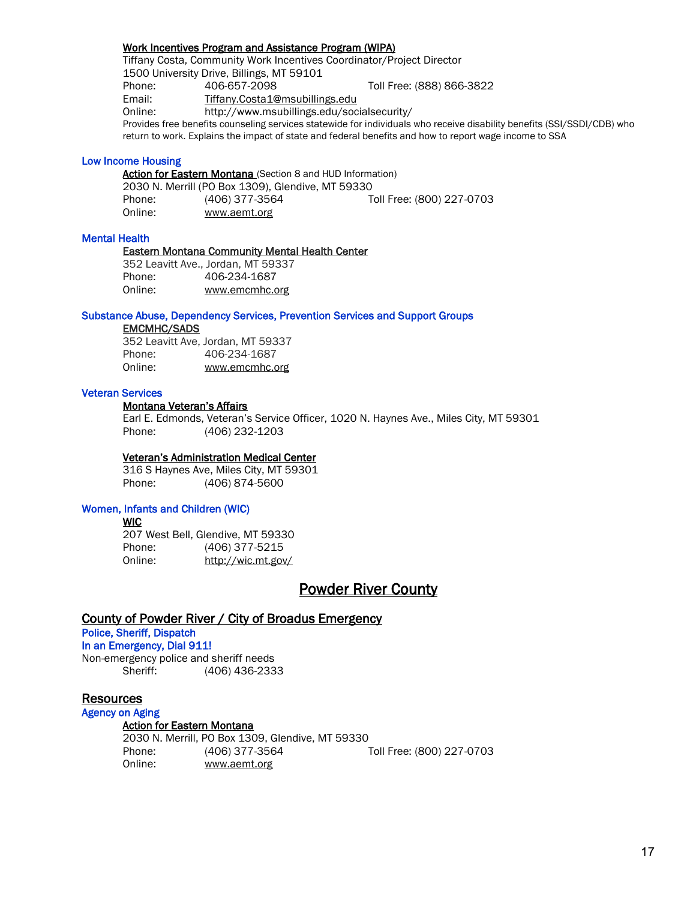#### Work Incentives Program and Assistance Program (WIPA)

Tiffany Costa, Community Work Incentives Coordinator/Project Director 1500 University Drive, Billings, MT 59101 Phone: 406-657-2098 Toll Free: (888) 866-3822 Email: [Tiffany.Costa1@msubillings.edu](mailto:Tiffany.Costa1@msubillings.edu) Online: http://www.msubillings.edu/socialsecurity/ Provides free benefits counseling services statewide for individuals who receive disability benefits (SSI/SSDI/CDB) who return to work. Explains the impact of state and federal benefits and how to report wage income to SSA

#### Low Income Housing

Action for Eastern Montana (Section 8 and HUD Information) 2030 N. Merrill (PO Box 1309), Glendive, MT 59330 Phone: (406) 377-3564 Toll Free: (800) 227-0703 Online: www.aemt.org

#### Mental Health

#### Eastern Montana Community Mental Health Center

352 Leavitt Ave., Jordan, MT 59337 Phone: 406-234-1687 Online: [www.emcmhc.org](http://www.emcmhc.org/) 

#### Substance Abuse, Dependency Services, Prevention Services and Support Groups

#### EMCMHC/SADS

352 Leavitt Ave, Jordan, MT 59337 Phone: 406-234-1687 Online: [www.emcmhc.org](http://www.emcmhc.org/)

#### Veteran Services

Montana Veteran's Affairs

Earl E. Edmonds, Veteran's Service Officer, 1020 N. Haynes Ave., Miles City, MT 59301 Phone: (406) 232-1203

#### Veteran's Administration Medical Center

316 S Haynes Ave, Miles City, MT 59301 Phone: (406) 874-5600

#### Women, Infants and Children (WIC)

WIC

207 West Bell, Glendive, MT 59330 Phone: (406) 377-5215 Online: http://wic.mt.gov/

## Powder River County

#### County of Powder River / City of Broadus Emergency

Police, Sheriff, Dispatch

#### In an Emergency, Dial 911!

Non-emergency police and sheriff needs Sheriff: (406) 436-2333

Online: www.aemt.org

#### **Resources**

## Agency on Aging

Action for Eastern Montana 2030 N. Merrill, PO Box 1309, Glendive, MT 59330 Phone: (406) 377-3564 Toll Free: (800) 227-0703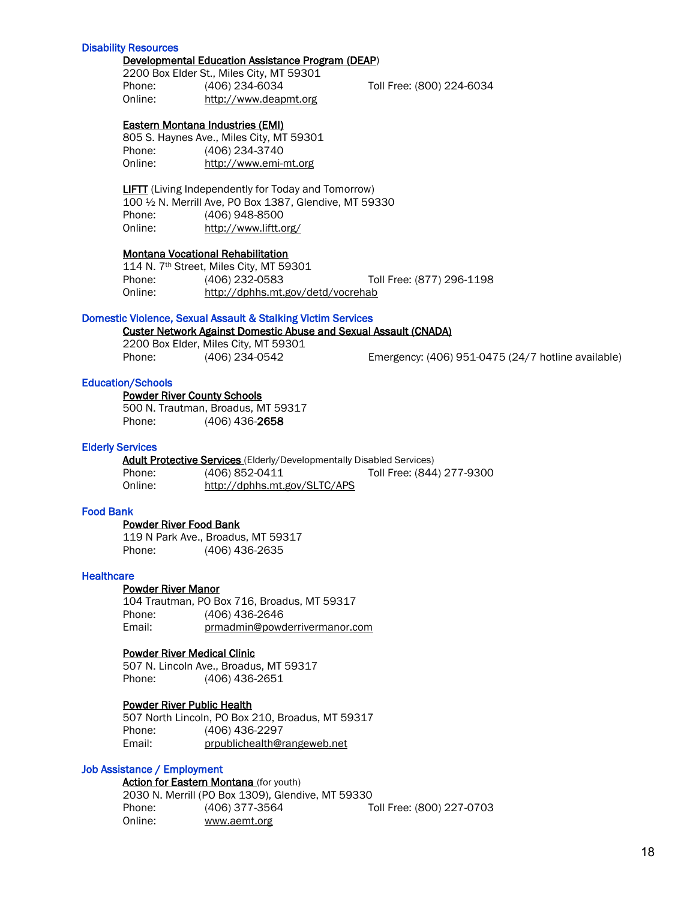#### Disability Resources

#### Developmental Education Assistance Program (DEAP)

2200 Box Elder St., Miles City, MT 59301 Phone: (406) 234-6034 Toll Free: (800) 224-6034 Online: [http://www.deapmt.org](http://www.deapmt.org/)

Eastern Montana Industries (EMI)

805 S. Haynes Ave., Miles City, MT 59301 Phone: (406) 234-3740 Online: http://www.emi-mt.org

 LIFTT (Living Independently for Today and Tomorrow) 100 ½ N. Merrill Ave, PO Box 1387, Glendive, MT 59330 Phone: (406) 948-8500 Online: <http://www.liftt.org/>

#### Montana Vocational Rehabilitation

114 N. 7th Street, Miles City, MT 59301 Phone: (406) 232-0583 Toll Free: (877) 296-1198 Online: http://dphhs.mt.gov/detd/vocrehab

#### Domestic Violence, Sexual Assault & Stalking Victim Services

Custer Network Against Domestic Abuse and Sexual Assault (CNADA)

2200 Box Elder, Miles City, MT 59301 Phone: (406) 234-0542 Emergency: (406) 951-0475 (24/7 hotline available)

#### Education/Schools

#### Powder River County Schools

 500 N. Trautman, Broadus, MT 59317 Phone: (406) 436-2658

#### Elderly Services

Adult Protective Services (Elderly/Developmentally Disabled Services) Phone: (406) 852-0411 Toll Free: (844) 277-9300 Online: http://dphhs.mt.gov/SLTC/APS

#### Food Bank

#### Powder River Food Bank

119 N Park Ave., Broadus, MT 59317 Phone: (406) 436-2635

#### **Healthcare**

#### Powder River Manor

104 Trautman, PO Box 716, Broadus, MT 59317 Phone: (406) 436-2646 Email: prmadmin@powderrivermanor.com

#### Powder River Medical Clinic

507 N. Lincoln Ave., Broadus, MT 59317 Phone: (406) 436-2651

#### Powder River Public Health

507 North Lincoln, PO Box 210, Broadus, MT 59317 Phone: (406) 436-2297 Email: [prpublichealth@rangeweb.net](mailto:prpublichealth@rangeweb.net)

#### Job Assistance / Employment

Action for Eastern Montana (for youth) 2030 N. Merrill (PO Box 1309), Glendive, MT 59330 Phone: (406) 377-3564 Toll Free: (800) 227-0703 Online: www.aemt.org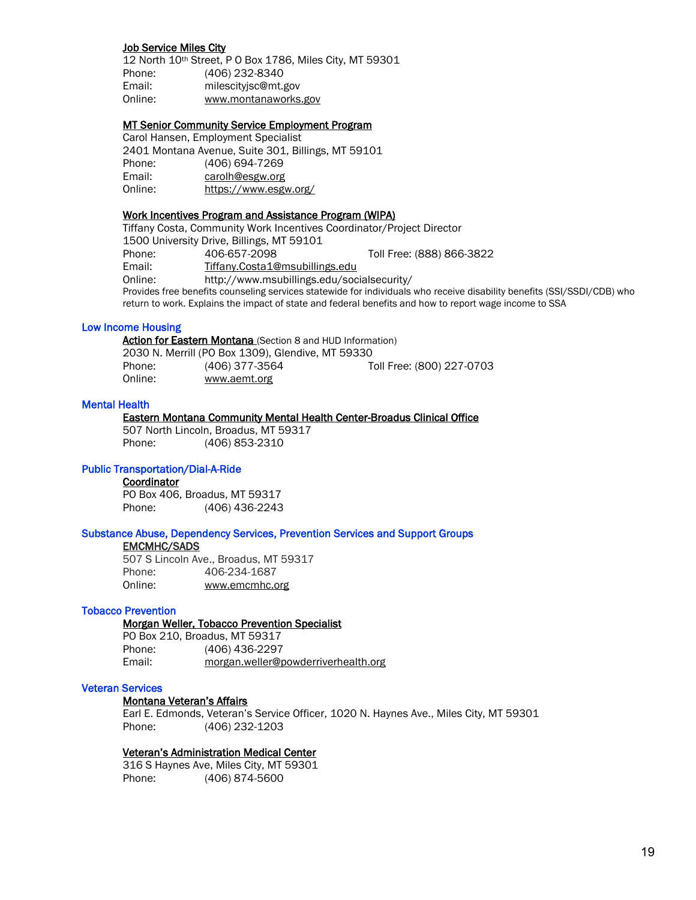#### Job Service Miles City

12 North 10th Street, P O Box 1786, Miles City, MT 59301 Phone: (406) 232-8340 Email: milescityjsc@mt.gov Online: www.montanaworks.gov

#### MT Senior Community Service Employment Program

Carol Hansen, Employment Specialist 2401 Montana Avenue, Suite 301, Billings, MT 59101 Phone: (406) 694-7269 Email: [carolh@esgw.org](mailto:carolh@esgw.org) Online: <https://www.esgw.org/>

#### Work Incentives Program and Assistance Program (WIPA)

Tiffany Costa, Community Work Incentives Coordinator/Project Director 1500 University Drive, Billings, MT 59101 Phone: 406-657-2098 Toll Free: (888) 866-3822 Email: [Tiffany.Costa1@msubillings.edu](mailto:Tiffany.Costa1@msubillings.edu) Online: http://www.msubillings.edu/socialsecurity/ Provides free benefits counseling services statewide for individuals who receive disability benefits (SSI/SSDI/CDB) who return to work. Explains the impact of state and federal benefits and how to report wage income to SSA

#### Low Income Housing

Action for Eastern Montana (Section 8 and HUD Information) 2030 N. Merrill (PO Box 1309), Glendive, MT 59330

Phone: (406) 377-3564 Toll Free: (800) 227-0703 Online: www.aemt.org

#### Mental Health

#### Eastern Montana Community Mental Health Center-Broadus Clinical Office

507 North Lincoln, Broadus, MT 59317 Phone: (406) 853-2310

#### Public Transportation/Dial-A-Ride

#### **Coordinator**

PO Box 406, Broadus, MT 59317 Phone: (406) 436-2243

#### Substance Abuse, Dependency Services, Prevention Services and Support Groups

#### EMCMHC/SADS

507 S Lincoln Ave., Broadus, MT 59317 Phone: 406-234-1687 Online: [www.emcmhc.org](http://www.emcmhc.org/)

#### Tobacco Prevention

#### Morgan Weller, Tobacco Prevention Specialist

PO Box 210, Broadus, MT 59317 Phone: (406) 436-2297 Email: [morgan.weller@powderriverhealth.org](mailto:morgan.weller@powderriverhealth.org)

#### Veteran Services

#### Montana Veteran's Affairs

Earl E. Edmonds, Veteran's Service Officer, 1020 N. Haynes Ave., Miles City, MT 59301 Phone: (406) 232-1203

#### Veteran's Administration Medical Center

316 S Haynes Ave, Miles City, MT 59301 Phone: (406) 874-5600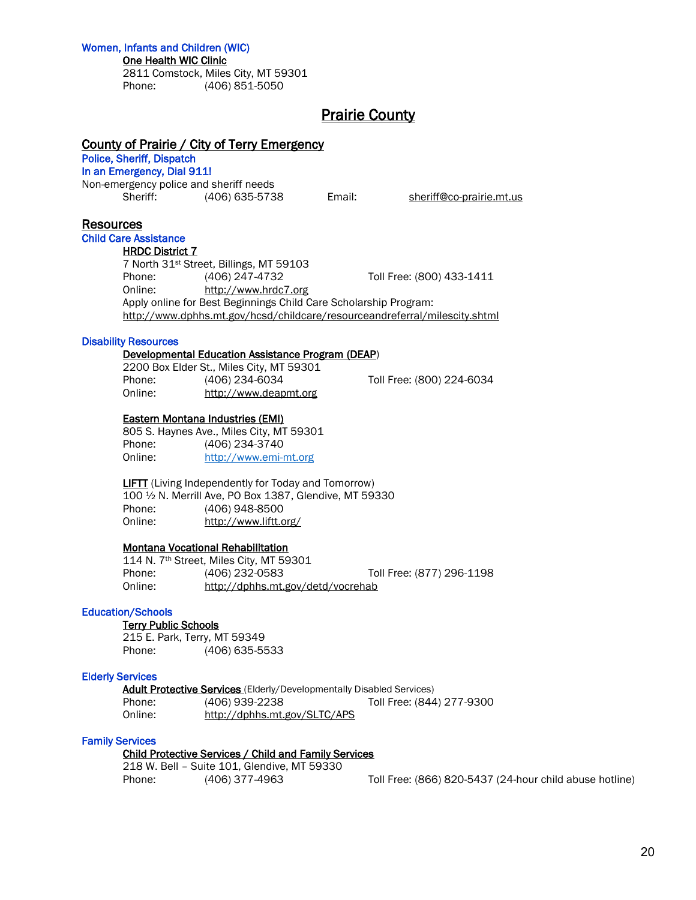#### Women, Infants and Children (WIC)

#### One Health WIC Clinic

2811 Comstock, Miles City, MT 59301 Phone: (406) 851-5050

## Prairie County

## County of Prairie / City of Terry Emergency

## Police, Sheriff, Dispatch

In an Emergency, Dial 911!

Non-emergency police and sheriff needs Sheriff: (406) 635-5738 Email: [sheriff@co-prairie.mt.us](mailto:sheriff@co-prairie.mt.us)

## **Resources**

## Child Care Assistance

HRDC District 7 7 North 31st Street, Billings, MT 59103 Phone: (406) 247-4732 Toll Free: (800) 433-1411 Online: [http://www.hrdc7.org](http://www.hrdc7.org/) Apply online for Best Beginnings Child Care Scholarship Program: <http://www.dphhs.mt.gov/hcsd/childcare/resourceandreferral/milescity.shtml>

#### Disability Resources

#### Developmental Education Assistance Program (DEAP)

2200 Box Elder St., Miles City, MT 59301 Phone: (406) 234-6034 Toll Free: (800) 224-6034 Online: [http://www.deapmt.org](http://www.deapmt.org/)

#### Eastern Montana Industries (EMI)

805 S. Haynes Ave., Miles City, MT 59301 Phone: (406) 234-3740 Online: [http://www.emi-mt.org](http://www.emi-mt.org/)

 LIFTT (Living Independently for Today and Tomorrow) 100 ½ N. Merrill Ave, PO Box 1387, Glendive, MT 59330 Phone: (406) 948-8500 Online: <http://www.liftt.org/>

#### Montana Vocational Rehabilitation

114 N. 7th Street, Miles City, MT 59301 Phone: (406) 232-0583 Toll Free: (877) 296-1198 Online: <http://dphhs.mt.gov/detd/vocrehab>

#### Education/Schools

#### **Terry Public Schools**

215 E. Park, Terry, MT 59349 Phone: (406) 635-5533

#### Elderly Services

Adult Protective Services (Elderly/Developmentally Disabled Services) Phone: (406) 939-2238 Toll Free: (844) 277-9300 Online: http://dphhs.mt.gov/SLTC/APS

#### Family Services

#### Child Protective Services / Child and Family Services

218 W. Bell – Suite 101, Glendive, MT 59330

Phone: (406) 377-4963 Toll Free: (866) 820-5437 (24-hour child abuse hotline)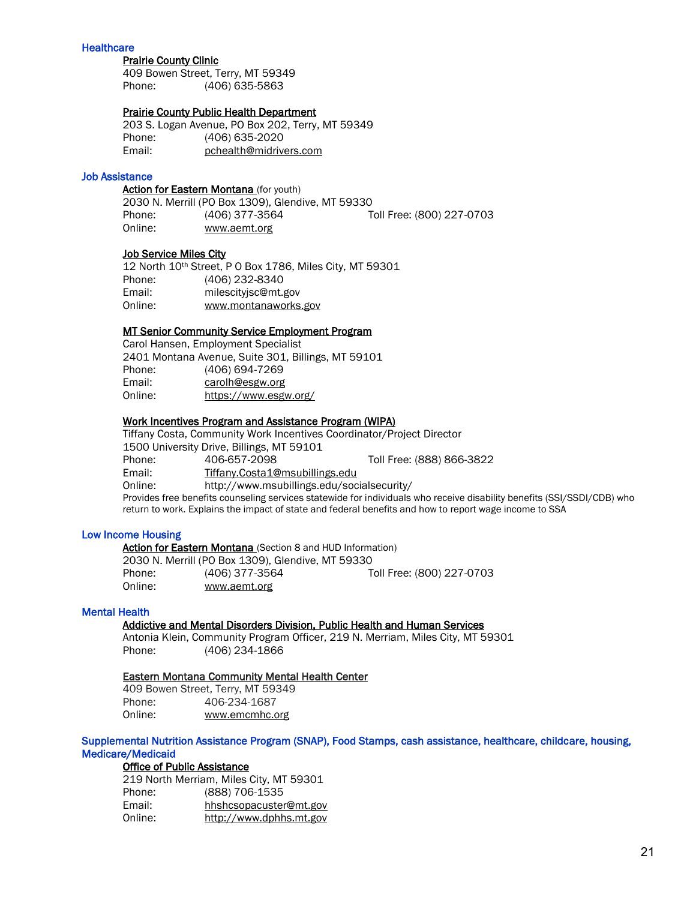#### **Healthcare**

#### Prairie County Clinic

409 Bowen Street, Terry, MT 59349 Phone: (406) 635-5863

#### Prairie County Public Health Department

203 S. Logan Avenue, PO Box 202, Terry, MT 59349 Phone: (406) 635-2020 Email: pchealth@midrivers.com

#### Job Assistance

#### Action for Eastern Montana (for youth)

|         | 2030 N. Merrill (PO Box 1309), Glendive, MT 59330 |                           |
|---------|---------------------------------------------------|---------------------------|
| Phone:  | (406) 377-3564                                    | Toll Free: (800) 227-0703 |
| Online: | www.aemt.org                                      |                           |

#### Job Service Miles City

12 North 10th Street, P O Box 1786, Miles City, MT 59301 Phone: (406) 232-8340 Email: milescityjsc@mt.gov Online: www.montanaworks.gov

#### MT Senior Community Service Employment Program

Carol Hansen, Employment Specialist 2401 Montana Avenue, Suite 301, Billings, MT 59101 Phone: (406) 694-7269 Email: [carolh@esgw.org](mailto:carolh@esgw.org) Online: <https://www.esgw.org/>

#### Work Incentives Program and Assistance Program (WIPA)

Tiffany Costa, Community Work Incentives Coordinator/Project Director 1500 University Drive, Billings, MT 59101 Phone: 406-657-2098 Toll Free: (888) 866-3822 Email: [Tiffany.Costa1@msubillings.edu](mailto:Tiffany.Costa1@msubillings.edu) Online: http://www.msubillings.edu/socialsecurity/ Provides free benefits counseling services statewide for individuals who receive disability benefits (SSI/SSDI/CDB) who return to work. Explains the impact of state and federal benefits and how to report wage income to SSA

#### Low Income Housing

Action for Eastern Montana (Section 8 and HUD Information) 2030 N. Merrill (PO Box 1309), Glendive, MT 59330 Phone: (406) 377-3564 Toll Free: (800) 227-0703 Online: www.aemt.org

#### Mental Health

## Addictive and Mental Disorders Division, Public Health and Human Services

Antonia Klein, Community Program Officer, 219 N. Merriam, Miles City, MT 59301 Phone: (406) 234-1866

#### Eastern Montana Community Mental Health Center

409 Bowen Street, Terry, MT 59349 Phone: 406-234-1687 Online: [www.emcmhc.org](http://www.emcmhc.org/)

#### Supplemental Nutrition Assistance Program (SNAP), Food Stamps, cash assistance, healthcare, childcare, housing, Medicare/Medicaid

#### Office of Public Assistance

|         | 219 North Merriam, Miles City, MT 59301 |
|---------|-----------------------------------------|
| Phone:  | (888) 706-1535                          |
| Email:  | hhshcsopacuster@mt.gov                  |
| Online: | http://www.dphhs.mt.gov                 |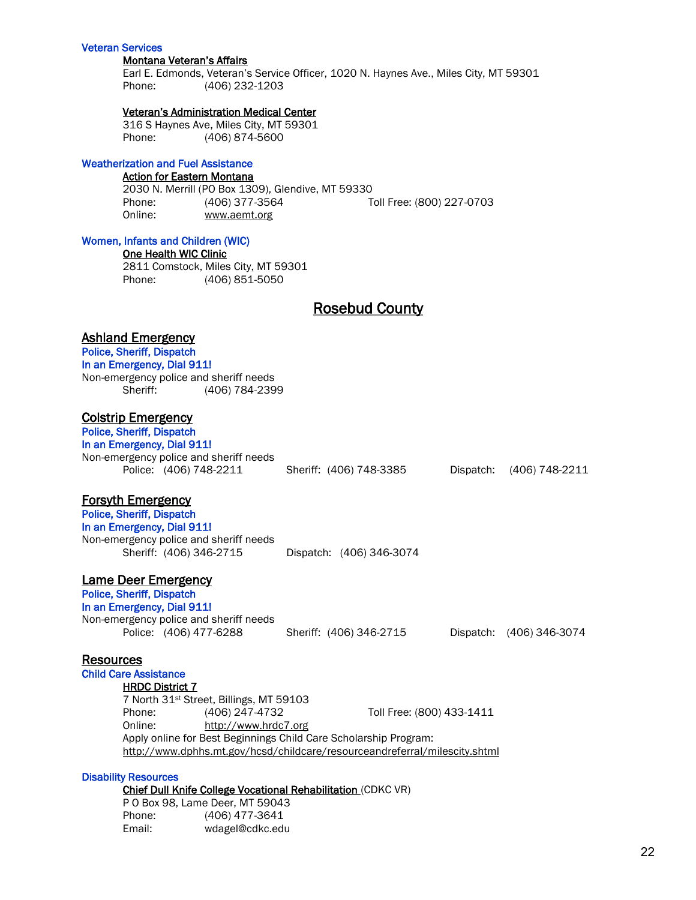#### Veteran Services

#### Montana Veteran's Affairs

Earl E. Edmonds, Veteran's Service Officer, 1020 N. Haynes Ave., Miles City, MT 59301 Phone: (406) 232-1203

#### Veteran's Administration Medical Center

316 S Haynes Ave, Miles City, MT 59301 Phone: (406) 874-5600

#### Weatherization and Fuel Assistance

#### Action for Eastern Montana

2030 N. Merrill (PO Box 1309), Glendive, MT 59330 Phone: (406) 377-3564 Toll Free: (800) 227-0703 Online: www.aemt.org

#### Women, Infants and Children (WIC)

One Health WIC Clinic

2811 Comstock, Miles City, MT 59301 Phone: (406) 851-5050

## Rosebud County

#### Ashland Emergency

## Police, Sheriff, Dispatch In an Emergency, Dial 911! Non-emergency police and sheriff needs Sheriff: (406) 784-2399 Colstrip Emergency Police, Sheriff, Dispatch In an Emergency, Dial 911! Non-emergency police and sheriff needs Police: (406) 748-2211 Sheriff: (406) 748-3385 Dispatch: (406) 748-2211 Forsyth Emergency Police, Sheriff, Dispatch In an Emergency, Dial 911! Non-emergency police and sheriff needs Sheriff: (406) 346-2715 Dispatch: (406) 346-3074 Lame Deer Emergency Police, Sheriff, Dispatch In an Emergency, Dial 911! Non-emergency police and sheriff needs Police: (406) 477-6288 Sheriff: (406) 346-2715 Dispatch: (406) 346-3074 Resources Child Care Assistance HRDC District 7 7 North 31st Street, Billings, MT 59103 Phone: (406) 247-4732 Toll Free: (800) 433-1411 Online: [http://www.hrdc7.org](http://www.hrdc7.org/) Apply online for Best Beginnings Child Care Scholarship Program: <http://www.dphhs.mt.gov/hcsd/childcare/resourceandreferral/milescity.shtml> Disability Resources

## Chief Dull Knife College Vocational Rehabilitation (CDKC VR)

|        | P 0 Box 98, Lame Deer, MT 59043 |
|--------|---------------------------------|
| Phone: | (406) 477-3641                  |
| Email: | wdagel@cdkc.edu                 |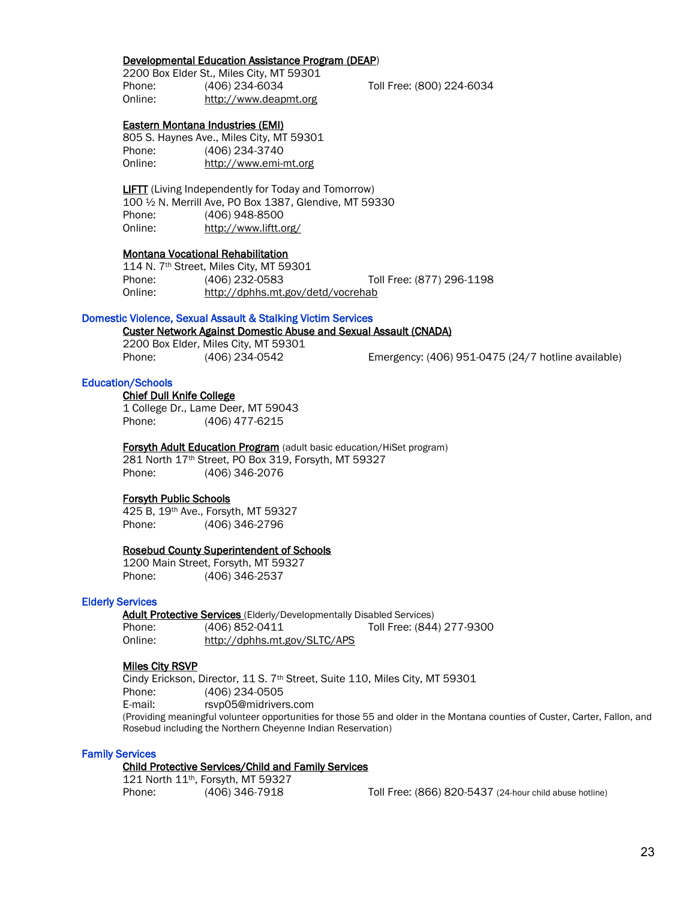#### Developmental Education Assistance Program (DEAP)

2200 Box Elder St., Miles City, MT 59301 Phone: (406) 234-6034 Toll Free: (800) 224-6034 Online: [http://www.deapmt.org](http://www.deapmt.org/)

#### Eastern Montana Industries (EMI)

805 S. Haynes Ave., Miles City, MT 59301 Phone: (406) 234-3740 Online: http://www.emi-mt.org

**LIFTT** (Living Independently for Today and Tomorrow) 100 ½ N. Merrill Ave, PO Box 1387, Glendive, MT 59330 Phone: (406) 948-8500 Online: <http://www.liftt.org/>

#### Montana Vocational Rehabilitation

114 N. 7th Street, Miles City, MT 59301 Phone: (406) 232-0583 Toll Free: (877) 296-1198 Online: http://dphhs.mt.gov/detd/vocrehab

#### Domestic Violence, Sexual Assault & Stalking Victim Services

#### Custer Network Against Domestic Abuse and Sexual Assault (CNADA)

2200 Box Elder, Miles City, MT 59301

Phone: (406) 234-0542 Emergency: (406) 951-0475 (24/7 hotline available)

## Education/Schools

#### Chief Dull Knife College 1 College Dr., Lame Deer, MT 59043 Phone: (406) 477-6215

**Forsyth Adult Education Program** (adult basic education/HiSet program) 281 North 17th Street, PO Box 319, Forsyth, MT 59327 Phone: (406) 346-2076

#### Forsyth Public Schools

425 B, 19th Ave., Forsyth, MT 59327 Phone: (406) 346-2796

#### Rosebud County Superintendent of Schools

1200 Main Street, Forsyth, MT 59327 Phone: (406) 346-2537

#### Elderly Services

Adult Protective Services (Elderly/Developmentally Disabled Services)

|         | <b>NUMBER 19890819 SOFTIOUS</b> (EIGOIT) BOTOIOPHIOHGIIT BIOGOIOG OOI TIOOOJ |                           |
|---------|------------------------------------------------------------------------------|---------------------------|
| Phone:  | (406) 852-0411                                                               | Toll Free: (844) 277-9300 |
| Online: | http://dphhs.mt.gov/SLTC/APS                                                 |                           |

#### Miles City RSVP

Cindy Erickson, Director, 11 S. 7<sup>th</sup> Street, Suite 110, Miles City, MT 59301 Phone: (406) 234-0505 E-mail: [rsvp05@midrivers.com](mailto:rsvp05@midrivers.com) (Providing meaningful volunteer opportunities for those 55 and older in the Montana counties of Custer, Carter, Fallon, and Rosebud including the Northern Cheyenne Indian Reservation)

#### Family Services

#### Child Protective Services/Child and Family Services

|        | 121 North $11th$ , Forsyth, MT 59327 |
|--------|--------------------------------------|
| Phone: | (406) 346-7918                       |

Toll Free: (866) 820-5437 (24-hour child abuse hotline)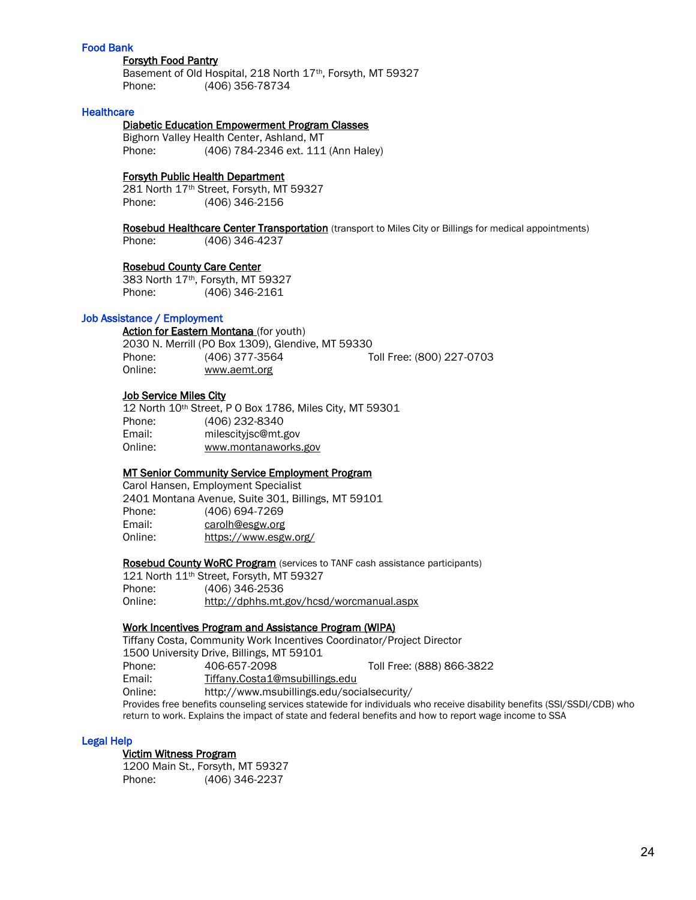#### Food Bank

#### Forsyth Food Pantry

 Basement of Old Hospital, 218 North 17th, Forsyth, MT 59327 Phone: (406) 356-78734

#### **Healthcare**

#### Diabetic Education Empowerment Program Classes

Bighorn Valley Health Center, Ashland, MT Phone: (406) 784-2346 ext. 111 (Ann Haley)

#### Forsyth Public Health Department

 281 North 17th Street, Forsyth, MT 59327 Phone: (406) 346-2156

Rosebud Healthcare Center Transportation (transport to Miles City or Billings for medical appointments) Phone: (406) 346-4237

#### Rosebud County Care Center

383 North 17th, Forsyth, MT 59327 Phone: (406) 346-2161

#### Job Assistance / Employment

Action for Eastern Montana (for youth) 2030 N. Merrill (PO Box 1309), Glendive, MT 59330 Phone: (406) 377-3564 Toll Free: (800) 227-0703 Online: www.aemt.org

#### Job Service Miles City

|         | 12 North 10th Street, P 0 Box 1786, Miles City, MT 59301 |
|---------|----------------------------------------------------------|
| Phone:  | (406) 232-8340                                           |
| Email:  | milescityisc@mt.gov                                      |
| Online: | www.montanaworks.gov                                     |

#### MT Senior Community Service Employment Program

Carol Hansen, Employment Specialist 2401 Montana Avenue, Suite 301, Billings, MT 59101 Phone: (406) 694-7269 Email: [carolh@esgw.org](mailto:carolh@esgw.org) Online: <https://www.esgw.org/>

Rosebud County WoRC Program (services to TANF cash assistance participants)

121 North 11th Street, Forsyth, MT 59327 Phone: (406) 346-2536 Online: http://dphhs.mt.gov/hcsd/worcmanual.aspx

#### Work Incentives Program and Assistance Program (WIPA)

Tiffany Costa, Community Work Incentives Coordinator/Project Director 1500 University Drive, Billings, MT 59101 Phone: 406-657-2098 Toll Free: (888) 866-3822 Email: [Tiffany.Costa1@msubillings.edu](mailto:Tiffany.Costa1@msubillings.edu) Online: http://www.msubillings.edu/socialsecurity/ Provides free benefits counseling services statewide for individuals who receive disability benefits (SSI/SSDI/CDB) who return to work. Explains the impact of state and federal benefits and how to report wage income to SSA

#### Legal Help

#### Victim Witness Program

 1200 Main St., Forsyth, MT 59327 Phone: (406) 346-2237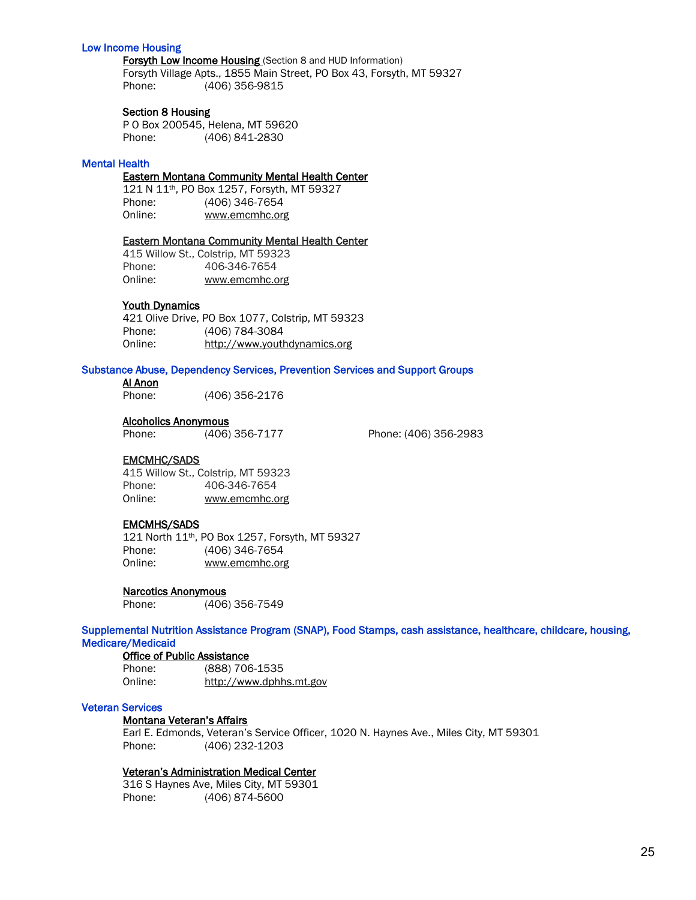#### Low Income Housing

Forsyth Low Income Housing (Section 8 and HUD Information) Forsyth Village Apts., 1855 Main Street, PO Box 43, Forsyth, MT 59327 Phone: (406) 356-9815

#### Section 8 Housing

P O Box 200545, Helena, MT 59620 Phone: (406) 841-2830

#### Mental Health

#### Eastern Montana Community Mental Health Center

121 N 11th, PO Box 1257, Forsyth, MT 59327 Phone: (406) 346-7654 Online: [www.emcmhc.org](http://www.emcmhc.org/)

#### Eastern Montana Community Mental Health Center

415 Willow St., Colstrip, MT 59323 Phone: 406-346-7654 Online: [www.emcmhc.org](http://www.emcmhc.org/)

#### Youth Dynamics

421 Olive Drive, PO Box 1077, Colstrip, MT 59323 Phone: (406) 784-3084 Online: http://www.youthdynamics.org

#### Substance Abuse, Dependency Services, Prevention Services and Support Groups

#### Al Anon

Phone: (406) 356-2176

#### Alcoholics Anonymous

Phone: (406) 356-7177 Phone: (406) 356-2983

#### EMCMHC/SADS

415 Willow St., Colstrip, MT 59323 Phone: 406-346-7654 Online: [www.emcmhc.org](http://www.emcmhc.org/)

#### EMCMHS/SADS

 121 North 11th, PO Box 1257, Forsyth, MT 59327 Phone: (406) 346-7654 Online: [www.emcmhc.org](http://www.emcmhc.org/)

#### Narcotics Anonymous

Phone: (406) 356-7549

Supplemental Nutrition Assistance Program (SNAP), Food Stamps, cash assistance, healthcare, childcare, housing, Medicare/Medicaid

Office of Public Assistance Phone: (888) 706-1535 Online: [http://www.dphhs.mt.gov](http://www.dphhs.mt.gov/)

#### Veteran Services

#### Montana Veteran's Affairs

Earl E. Edmonds, Veteran's Service Officer, 1020 N. Haynes Ave., Miles City, MT 59301 Phone: (406) 232-1203

#### Veteran's Administration Medical Center

316 S Haynes Ave, Miles City, MT 59301 Phone: (406) 874-5600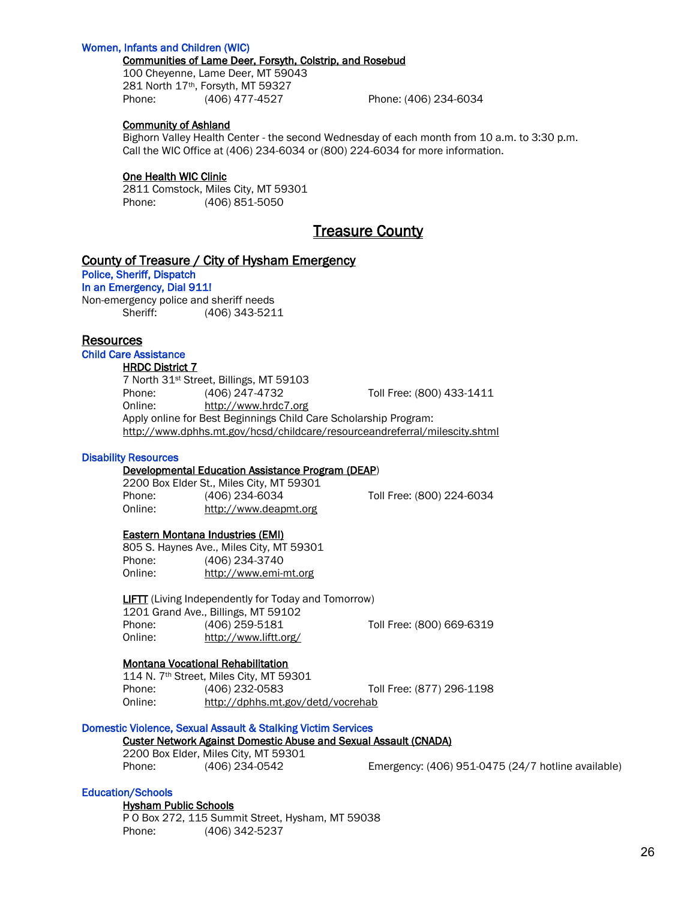#### Women, Infants and Children (WIC)

#### Communities of Lame Deer, Forsyth, Colstrip, and Rosebud

100 Cheyenne, Lame Deer, MT 59043 281 North 17th, Forsyth, MT 59327 Phone: (406) 477-4527 Phone: (406) 234-6034

#### Community of Ashland

Bighorn Valley Health Center - the second Wednesday of each month from 10 a.m. to 3:30 p.m. Call the WIC Office at (406) 234-6034 or (800) 224-6034 for more information.

#### One Health WIC Clinic

2811 Comstock, Miles City, MT 59301 Phone: (406) 851-5050

## Treasure County

### County of Treasure / City of Hysham Emergency

Police, Sheriff, Dispatch In an Emergency, Dial 911!

Non-emergency police and sheriff needs Sheriff: (406) 343-5211

#### Resources

#### Child Care Assistance

#### **HRDC District 7**

7 North 31st Street, Billings, MT 59103 Phone: (406) 247-4732 Toll Free: (800) 433-1411 Online: [http://www.hrdc7.org](http://www.hrdc7.org/) Apply online for Best Beginnings Child Care Scholarship Program: <http://www.dphhs.mt.gov/hcsd/childcare/resourceandreferral/milescity.shtml>

#### Disability Resources

#### Developmental Education Assistance Program (DEAP)

2200 Box Elder St., Miles City, MT 59301 Phone: (406) 234-6034 Toll Free: (800) 224-6034 Online: [http://www.deapmt.org](http://www.deapmt.org/)

#### Eastern Montana Industries (EMI)

805 S. Haynes Ave., Miles City, MT 59301 Phone: (406) 234-3740 Online: http://www.emi-mt.org

 LIFTT (Living Independently for Today and Tomorrow) 1201 Grand Ave., Billings, MT 59102 Phone: (406) 259-5181 Toll Free: (800) 669-6319 Online: <http://www.liftt.org/>

#### Montana Vocational Rehabilitation

114 N. 7th Street, Miles City, MT 59301 Phone: (406) 232-0583 Toll Free: (877) 296-1198 Online: http://dphhs.mt.gov/detd/vocrehab

## Domestic Violence, Sexual Assault & Stalking Victim Services

#### Custer Network Against Domestic Abuse and Sexual Assault (CNADA)

2200 Box Elder, Miles City, MT 59301

Phone: (406) 234-0542 Emergency: (406) 951-0475 (24/7 hotline available)

#### Education/Schools

 Hysham Public Schools P O Box 272, 115 Summit Street, Hysham, MT 59038 Phone: (406) 342-5237